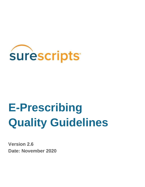

# **E-Prescribing Quality Guidelines**

**Version 2.6 Date: November 2020**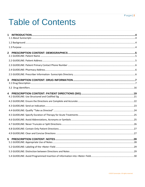### $Page|2$

# **Table of Contents**

| 1              |  |
|----------------|--|
|                |  |
|                |  |
|                |  |
| $\overline{2}$ |  |
|                |  |
|                |  |
|                |  |
|                |  |
|                |  |
|                |  |
|                |  |
|                |  |
|                |  |
|                |  |
|                |  |
|                |  |
|                |  |
|                |  |
|                |  |
| 5              |  |
|                |  |
|                |  |
|                |  |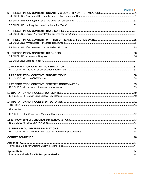|                | Page 3 |
|----------------|--------|
| 6              |        |
|                |        |
|                |        |
|                |        |
| $\overline{7}$ |        |
| 8              |        |
|                |        |
|                |        |
| 9              |        |
|                |        |
|                |        |
|                |        |
|                |        |
|                |        |
|                |        |
|                |        |
|                |        |
|                |        |
|                |        |
|                |        |
|                |        |
|                |        |
|                |        |
|                |        |
|                |        |
|                |        |
|                |        |
|                |        |
|                |        |
|                |        |
|                |        |
|                |        |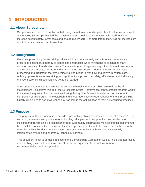# <span id="page-3-0"></span>**1 INTRODUCTION**

## <span id="page-3-1"></span>**1.1 About Surescripts**

Our purpose is to serve the nation with the single most trusted and capable health information network. Since 2001, Surescripts has led the movement to turn health data into actionable intelligence to increase patient safety, lower costs and ensure quality care. For more information, visi[t](http://www.surescripts.com/) [surescripts.com](http://www.surescripts.com/)  [an](http://www.surescripts.com/)d follow us at twitter.com/Surescripts.

## <span id="page-3-2"></span>**1.2 Background**

Electronic prescribing (e-prescribing) allows clinicians to accurately and efficiently communicate prescribed patient drug therapy to dispensing pharmacies while minimizing or eliminating many common sources of medication errors. The ultimate goal of e-prescribing is the efficient transmission and receipt of complete, accurate and unambiguous prescription orders that optimize pharmacy processing and fulfillment, thereby eliminating disruptions in workflow and delays in patient care. Although present-day e-prescribing has significantly improved the safety, effectiveness and efficiency of patient care, its full potential has yet to be realized.<sup>1</sup>

Surescripts is committed to ensuring the complete benefits of e-prescribing are realized by all stakeholders. To achieve this goal, the Surescripts Critical Performance Improvements program works to improve the quality of all transactions flowing through the Surescripts network. An important component of this program is to establish and encourage industry-wide adoption of the E-Prescribing Quality Guidelines to assist all technology partners in the optimization of their e-prescribing practices.

## <span id="page-3-3"></span>**1.3 Purpose**

The purpose of this document is to provide e-prescribing clinicians and electronic health record (EHR) technology partners with guidance regarding key principles and best practices to consider when initiating and transmitting e-prescription orders. Community pharmacists will also find this document to be a useful resource in the education of staff and prescribers. It should be noted that the best practices described within this document are based on proven strategies that have been successfully implemented by EHR and pharmacy technology partners.

This document is not to be used in place of the E-Prescribing Companion Guide. This guide addresses e-prescribing as a whole and may reiterate network requirements, as well as introduce recommendations and best practices.

<sup>1</sup> Dhavle AA, et al. J Am Med Inform Assoc 2014;0:1–4. doi:10.1136/amiajnl-2014- 002738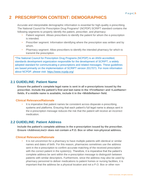# <span id="page-4-0"></span>**2 PRESCRIPTION CONTENT: DEMOGRAPHICS**

Accurate and interpretable demographic information is essential for high-quality e-prescribing. The National Council for Prescription Drug Programs\* (NCPDP) SCRIPT standard contains the following segments to properly identify the patient, prescriber, and pharmacy:

- Patient segment: Allows prescribers to identify the patient for whom the e-prescription is intended.
- Prescriber segment: Information identifying where the prescription was written and by whom.
- Pharmacy segment: Allow prescribers to identify the intended pharmacy for which to transmit the prescription.

\*The National Council for Prescription Drug Programs (NCPDP) is an ANSI-accredited, standards development organization responsible for the development of SCRIPT, a widely adopted standard for communicating e-prescriptions and related messages. These guidelines are based primarily on the implementation of SCRIPT version 2017071. For more information about NCPDP, please visit[:](http://www.ncpdp.org/) [https://www.ncpdp.org/](http://www.ncpdp.org/)

## <span id="page-4-1"></span>**2.1 GUIDELINE: Patient Name**

**Ensure the patient's complete legal name is sent in all e-prescriptions issued by the prescriber. Include the patient's first and last name in the <FirstName> and <LastName> fields. If a middle name is available, include it in the <MiddleName> field.**

## **Clinical Relevance/Rationale**

• It is imperative that patient names be consistent across disparate e-prescribing systems and platforms. Ensuring that each patient's full legal name is always sent in the e-prescription message reduces the risk that the patient will receive an incorrect medication.

## <span id="page-4-2"></span>**2.2 GUIDELINE: Patient Address**

**Include the patient's complete address in the e-prescription issued by the prescriber. Ensure <AddressLine1> does not contain a P.O. Box or other non-physical address.**

## **Clinical Relevance/Rationale**

It is not uncommon for a pharmacy to have multiple patients with identical or similar names and dates of birth. For this reason, pharmacies sometimes use the address sent in the e-prescription to confirm accurate matching of the received prescription with the correct patient in the system(s). Therefore, it is imperative that the patient's complete address be sent within the e-prescription message to distinguish between patients with similar descriptors. Furthermore, since the address may also be used by pharmacy personnel to deliver medications to patient homes or nursing facilities, it is important that the address be a physical location and not a P.O. Box or other non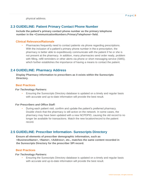physical address.

## <span id="page-5-0"></span>**2.3 GUIDELINE: Patient Primary Contact Phone Number**

**Include the patient's primary contact phone number as the primary telephone number in the <CommunicationNumbers.PrimaryTelephone> field.**

## **Clinical Relevance/Rationale**

• Pharmacies frequently need to contact patients via phone regarding prescriptions. With the inclusion of a patient's primary phone number in the e-prescription, the pharmacy is better able to expeditiously communicate with the patient if he or she is not present at the pharmacy. In addition, many pharmacies send order ready, problem with filling, refill reminders or other alerts via phone or short messaging service (SMS), which further establishes the importance of having a means to contact the patient.

## <span id="page-5-1"></span>**2.4 GUIDELINE: Pharmacy Address**

**Display Pharmacy information to prescribers as it exists within the Surescripts Directory.**

#### **Best Practices**

## *For Technology Partners:*

• Ensuring the Surescripts Directory database is updated on a timely and regular basis with accurate and up-to-date information will provide the best result.

#### *For Prescribers and Office Staff:*

• During each patient visit, confirm and update the patient's preferred pharmacy. Double check that the pharmacy is still active on the network. In some cases, the pharmacy may have been updated with a new NCPDPID, causing the old record to no longer be available for transactions. Match the new location/record to the patient record.

## <span id="page-5-2"></span>**2.5 GUIDELINE: Prescriber Information- Surescripts Directory**

**Ensure all elements of prescriber demographic information, such as <BusinessName>, <Name>, <Address>, etc., matches the same content recorded in the Surescripts Directory for the prescriber SPI record.**

#### **Best Practices**

#### *For Technology Partners:*

• Ensuring the Surescripts Directory database is updated on a timely and regular basis with accurate and up-to-date information will provide the best result.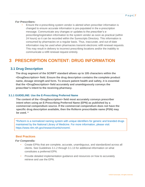#### *For Prescribers:*

• Ensure the e-prescribing system vendor is alerted when prescriber information is changed to ensure accurate information is pre-populated in the e-prescription message. Communicate any changes or updates to the prescriber's eprescribing/registration information to the system vendor as soon as practical (within 24 hours) so it can be recorded within the Surescripts Directory. This information is consumed by pharmacies on a regular basis. Thus, inaccurate, and out-of-date information may be used when pharmacies transmit electronic refill renewal requests. This may result in delivery to incorrect prescribing locations and/or the inability to communicate a refill renewal request entirely.

# <span id="page-6-0"></span>**3 PRESCRIPTION CONTENT: DRUG INFORMATION**

## <span id="page-6-1"></span>**3.1 Drug Description**

**The drug segment of the SCRIPT standard allows up to 105 characters within the <DrugDescription> field. Ensure the drug description contains the complete product name, dosage strength and form. To ensure patient health and safety, it is essential that the <DrugDescription> field accurately and unambiguously conveys the prescriber's intent to the receiving pharmacy.** 

## **3.1.1 GUIDELINE: Use the E-Prescribing Preferred Name**

**The content of the <DrugDescription> field most accurately conveys prescriber intent when using an E-Prescribing Preferred Name (EPN) as published by a commercial compendium source. If the commercial compendium does not have the specific drug description available, then the RxNorm prescribable name (PSN) may be used. \***

\*RxNorm is a normalized naming system with unique identifiers for generic and branded drugs maintained by the National Library of Medicine. For more information, please visit: https://www.nlm.nih.gov/research/umls/rxnorm/.

## **Best Practices**

#### *For Compendia:*

- Create EPNs that are complete, accurate, unambiguous, and standardized across all clients. See Guidelines 3.1.2 through 3.1.13 for additional information on what constitutes a preferred EPN.
- Provide detailed implementation guidance and resources on how to accurately retrieve and use the EPN.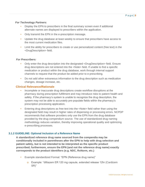## *For Technology Partners:*

- Display the EPN to prescribers in the final summary screen even if additional alternate names are displayed to prescribers within the application.
- Only transmit the EPN in the e-prescription message.
- Update the drug database at least weekly to ensure that prescribers have access to the most current medication files.
- Limit the ability for prescribers to create or use personalized content (free text) in the <DrugDescription> field.

#### *For Prescribers:*

- Only enter the drug description into the designated <DrugDescription> field. Ensure drug descriptions are not entered into the <Note> field. If unable to find a specific medication or product within the drug database, work through internal support channels to request that the product be added prior to e-prescribing.
- Do not add other extraneous information to the drug description such as medication changes, dosage increase, etc.

#### **Clinical Relevance/Rationale**

- Incomplete or inaccurate drug descriptions create workflow disruptions at the pharmacy during prescription fulfillment and may introduce risks to patient health and safety. If the pharmacy's system is unable to recognize the drug description, the system may not be able to accurately pre-populate fields within the pharmacy's prescription processing application.
- Entering drug descriptions as free text into the <Note> field rather than using the designated field may result in higher rates of dispensing or processing errors. NCPDP recommends that software providers only use the EPN from the drug database provided by the drug compendium source. The use of standardized drug naming methodology reduces variation, thereby improving operational quality and optimizing e-prescribing processes.

## **3.1.2 GUIDELINE: Optional Inclusion of a Reference Name**

**A standardized reference drug name sourced from the compendia may be conditionally included in parentheses after the EPN to help with drug selection and patient safety, but is not intended to be interpreted as the specific product prescribed; furthermore, ensure the EPN (and not the reference drug name) exactly corresponds to the product identifiers (e.g. NDC, RxNorm, etc.)**

- Example standardized Format: "EPN (Reference drug name)"
	- o Example: "diltiazem ER 120 mg capsule, extended release 12hr (Cardizem SR)"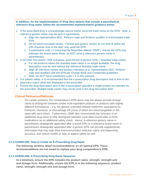**In addition, for the implementation of drug descriptions that include a parenthetical reference drug name, follow the recommended implementation guidance below:**

- 1. If the prescribed drug is a brand/single-source brand, send the trade name as the EPN. Note, a reference generic name may be sent in parenthesis.
	- a. Align the representative NDC, RxNorm code and RxNorm qualifier to that branded trade EPN
	- b. Do not send truncated names. If brand and generic names do not both fit within the 105-character limit of the field, only send the EPN
	- c. If substitution code =1 (meaning the Prescriber selects "DAW"), ensure the EPN only indicates the brand name (Note: do NOT send a reference generic name in parentheses)
- 2. In all other non-brand / SSB scenarios, send format of generic EPN + (branded trade name)
	- a. For old products where the branded trade name is no longer available, the drug description may be sent without the reference branded trade name
	- b. Align all reference names and product indicators (e.g. representative NDC, RxNorm code and qualifier) with the EPN per Orange Book and Compendia guidelines
	- c. Note: Do NOT send substitution  $code = 1$  in this scenario
- 3. For patient safety, it is recommended that the e-prescription drug description that is sent to the pharmacy match what was displayed to the prescriber.
- 4. Ensure the drug description sent in the e-prescription specifies a single product as intended by the prescriber. Multiple trade names may not be sent in the drug description field.

## **Clinical Relevance/Rationale**

• For certain products, the compendium's EPN alone may not always provide enough clarity to distinguish between similar multi-ingredient products or products with slightly different formulations – e.g. the generic extended-release metformin equivalents for Fortamet, Glumetza, or Glucophage XR (none of which are interchangeable or ABrated with each other). Furthermore, ISMP also recommends the inclusion of an additional drug name to help distinguish between Look-alike-Sound-alike (LASA) medications as an additional safety check. Hence, a reference generic name in parentheses strategically appended after a brand EPN or a reference brand name in parentheses strategically appended after a generic EPN can provide supplemental information that may help drive improved product selection clarity and dispensing accuracy, and reduce misfills or risks to patient safety as well.

## **3.1.3 GUIDELINE: How to Create an E-Prescribing Drug Name**

**The following sections detail recommendations on an optimal EPN. These recommendations are not meant to replace your drug compendium's EPN.**

#### **3.1.4 GUIDELINE: E-Prescribing Drug Name Sequence**

**At a minimum, ensure the EPN includes the product name, strength, strength unit and dosage form. Additionally, ensure the EPN is in the following sequence: product name, strength, strength unit and dosage form.**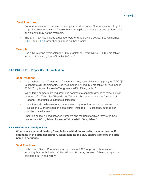## **Best Practices**

- For non-medications, transmit the complete product name. Non-medications (e.g. test strips, insulin pump machine) rarely have an applicable strength or dosage form, thus all elements may not be available.
- The EPN may also include a dosage route or drug delivery device. See Guidelines [3.1.11](#page-13-0) and [3.1.13](#page-15-1) for further guidance on these topics.

## **Example**

• Use "Hydroxyzine hydrochloride 100 mg tablet" or "Hydroxyzine HCl 100 mg tablet" instead of "Hydroxyzine HCl tablet 100 mg."

## **3.1.5 GUIDELINE: Proper Use of Punctuation**

## **Best Practices**

- Use hyphens (i.e. "-") instead of forward slashes, back slashes, or pipes (i.e. "/","\", "|") to separate similar elements. Use "Augmentin 875 mg-125 mg tablet" or "Augmentin 875-125 mg tablet" instead of "Augmentin 875/125 mg tablet."
- When large numbers are required, use commas to separate groups of three digits in numbers of 1,000+. Use "Heparin 10,000 unit subcutaneous injection" instead of "Heparin 10000 unit subcutaneous injection."
- Use a forward slash to write a concentration or proportion per unit of volume. Use "Fluticasone 50 mcg/actuation nasal spray" instead of "Fluticasone, 50 mcg per actuation, nasal spray."
- Ensure a space is used between numbers and the units to which they refer. Use "simvastatin 80 mg tablet" instead of "simvastatin 80mg tablet."

#### **3.1.6 GUIDELINE: Multiple Salts**

**When there are multiple drug formulations with different salts, include the specific salt name in the drug description. When sending the salt, ensure it follows the drug name in sequence.**

## **Best Practices**

• Only United States Pharmacopeia Convention (USP) approved abbreviations, including, but not limited to, K, Na, HBr and HCl may be used. Otherwise, spell the salt name out in its entirety.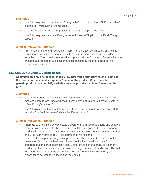## **Examples**

- Use "Hydroxyzine hydrochloride 100 mg tablet" or "Hydroxyzine HCl 100 mg tablet" instead of "Hydroxyzine 100 mg tablet."
- Use "Metoprolol tartrate 50 mg tablet" instead of "Metoprolol 50 mg tablet."
- Use "Hydroxyzine pamoate 25 mg capsule" instead of "Hydroxyzine PAM 25 mg capsule."

## **Clinical Relevance/Rationale**

• Providing complete and accurate salt form names is a critical method of avoiding confusion or misinterpretation, especially for medications that come in similar formulations. The inclusion of the salt component allows for better differentiation, thus ensuring appropriate drug selection and dispensing by the pharmacist during prescription fulfillment.

## **3.1.7 GUIDELINE: Brand & Generic Names**

**Communicate only one concept in the EPN, either the proprietary "brand" name of the product or the chemical "generic" name of the product. When there is no generic product commercially available, use the proprietary "brand" name as the EPN.**

## **Examples**

- Use "ProAir 90 mcg/actuation solution for inhalation" or "albuterol sulfate hfa 90 mcg/actuation aerosol inhaler (Proair HFA)" instead of "albuterol (ProAir, Ventolin HFA) 90 mcg/actuation."
- Use "Harvoni 90-400 mg tablet" instead of "ledipasavir-sofosbuvir (Harvoni) 90-400 mg tablet" or "ledipasavir-sofosbuvir 90-400 mg tablet."

## **Clinical Relevance/Rationale**

• Pharmacies are limited by each state's board of pharmacy regulations and scope of practice rules. Many states have specific regulations regarding the use of generic products in place of brand- name products that may take into account the U.S. Food and Drug Administration (FDA) bioequivalence ratings, the pharmacokinetic/pharmacodynamic properties or the therapeutic outcome of the medication (e.g. narrow therapeutic index medications, biosimilars, etc.). It is important that the drug description clearly references either a brand or a generic product, so the pharmacy can determine the single prescribed medication. This helps the pharmacist interpret the Dispense as Written code value indicated by the prescriber to determine if substitution may occur.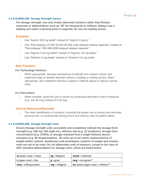#### **3.1.8 GUIDELINE: Dosage Strength Values**

**For dosage strength, use only Arabic (decimal) numbers rather than Roman numerals or abbreviations such as "M" for thousands or millions. Always use a leading zero when a decimal point is required. Do not use trailing zeroes.**

## **Examples**

- Use "Aspirin 325 mg tablet" instead of "Aspirin V grains."
- Use "Pancrelipase 12,000-38,000-60,000 units delayed release capsules" instead of "Pancrelipase 12M-38M-60M delayed release capsules."
- Use "Digoxin 0.25 mg tablet" instead of "Digoxin .25 mg tablet."
- Use "Warfarin 5 mg tablet" instead of "Warfarin 5.0 mg tablet.

## **Best Practices**

#### *For Technology Partners:*

• When appropriate, develop mechanisms to identify non-numeric values and implement logic to identify decimals without a leading or trailing zero(s). When appropriate, also implement decision support or default values to reduce manual entry.

#### *For Prescribers:*

• When possible, avoid the use of zeroes by employing alternative units of measure (e.g. use 30 mcg instead of 0.03 mg).

## **Clinical Relevance/Rationale**

The clear identification of numbers, including the proper use of zeroes and decimals, prevents ten- or hundred-fold dosing errors and reduces risks to patient safety.

#### **3.1.9 GUIDELINE: Dosage Strength Units**

**Ensure dosage strength units accurately and completely indicate the dosage form strength (e.g. 250 mg, 250 mg/5 mL), delivery rate (e.g. 12 mcg/hour), dosage form concentration (e.g. 0.05%), or dosage released from a single-delivery device actuation (e.g. 90 mcg/actuation). All units are to be metric measurements of weight and/or volume. Apothecary and avoirdupois systems of weight and volume units are not to be used. Do not abbreviate units of measure, except in the case of USP standard abbreviations for dosage units, which are listed below:**

| $m$ (lower case) = meter      | $kg = kilogram$   | $mmol$ = millimole                     |
|-------------------------------|-------------------|----------------------------------------|
| <b>L</b> (upper case) = liter | $g = \text{gram}$ | $mcg = microgram*$                     |
| $mEq$ = milliequivalent       | $mg =$ milligram  | $mL$ (lower/upper case) = milliliter** |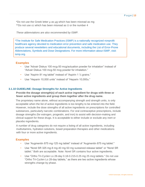\*Do not use the Greek letter µ as µg which has been misread as mg \*\*Do not use cc which has been misread as U or the number 4

*These abbreviations are also recommended by ISMP.*

\*The Institute for Safe Medication Practices (ISMP) is a nationally recognized nonprofit healthcare agency devoted to medication error prevention and safe medication use. They produce several newsletters and educational documents, including the List of Error-Prone Abbreviations, Symbols and Dose Designations. For more information about ISMP, visit: ismp.org.

## **Examples**

- Use "Advair Diskus 100 mcg-50 mcg/actuation powder for inhalation" instead of "Advair Diskus 100 mcg-50 mcg powder for inhalation."
- Use "Aspirin 81 mg tablet" instead of "Aspirin 1 1/4 grains."
- Use "Heparin 10,000 units" instead of "Heparin 10,000u."

#### **3.1.10 GUIDELINE: Dosage Strengths for Active Ingredients**

**Provide the dosage strength(s) of each active ingredient for drugs with three or fewer active ingredients and group them together after the drug name.**

The proprietary name alone, without accompanying strength and strength units, is only acceptable when the list of active ingredients is too lengthy to be entered into the field. However, include the dose strengths of all active ingredients on prescriptions for controlled substances, particularly narcotic combinations. For oral contraceptive prescriptions, include dosage strengths (for estrogen, progestin, and iron) to assist with decision-making and clinical support for these drugs. It is acceptable to either include or exclude any inert or placebo ingredients.

A number of drug categories do not require a listing of all active ingredients, including multivitamins, hydration solutions, bowel preparation therapies and other medications with four or more active ingredients.

## **Examples**

- Use "Augmentin 875 mg-125 mg tablet" instead of "Augmentin 875 mg tablet."
- Use "Norel SR 325 mg-8 mg-40 mg-50 mg sustained-release tablet" or "Norel SR tablet." Both are acceptable. Note: Norel SR contains four active ingredients.
- Use "Ortho Tri-Cyclen Lo 28-day 0.18-0.215-0.25 mg 25 mcg tablets." Do not use "Ortho Tri-Cyclen Lo 28-day tablets," as there are two active ingredients whose strengths change by phase.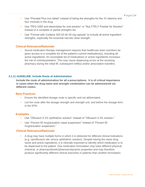- Use "Prenatal Plus Iron tablet" instead of listing the strengths for the 10 vitamins and four minerals in the drug.
- Use "PEG-3350 and electrolytes for oral solution" or "NuLYTELY Powder for Solution" instead of a complete or partial strengths list.
- Use "Fioricet with Codeine 325-50-40-30 mg capsule" to include all active ingredient strengths, especially the essential narcotic dose strength.

## **Clinical Relevance/Rationale**

• Sound medication therapy management requires that healthcare team members be given access to a complete list of the patient's current medication(s), including all active ingredients. An incomplete list of medications or active ingredients increases the risk of misinterpretation. This may cause dispensing errors at the receiving pharmacy during the initial fill, subsequent refill(s) and/or prescription transfers.

#### <span id="page-13-0"></span>**3.1.11 GUIDELINE: Include Route of Administration**

**Include the route of administration for all e-prescriptions. It is of critical importance in cases when the drug name and strength combination can be administered via different routes.**

#### **Best Practices**

- Ensure the identified dosage route is specific and not abbreviated.
- List the route after the dosage strength and strength unit, and before the dosage form in the EPN.

## **Examples**

- Use "Ofloxacin 0.3% ophthalmic solution" instead of "Ofloxacin 0.3% solution."
- Use "Flovent 50 mcg/actuation nasal suspension" instead of "Flovent 50 mcg/actuation suspension."

## **Clinical Relevance/Rationale**

• A drug may have multiple forms in which it is delivered for different clinical indications (e.g. ciprofloxacin otic versus ophthalmic solution). Despite having the same drug name and active ingredients, it is clinically important to identify which medication is to be dispensed to the patient. One medication formulation may have different physical, chemical, or pharmacokinetic/pharmacodynamic properties and may therefore produce significantly different clinical outcomes in patients than another formulation.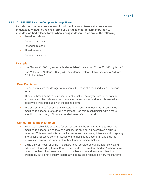## **3.1.12 GUIDELINE: Use the Complete Dosage Form**

**Include the complete dosage form for all medications. Ensure the dosage form indicates any modified release forms of a drug. It is particularly important to include modified release forms when a drug is described as any of the following:**

- Sustained release
- Controlled release
- Extended release
- Timed release
- Continuous release

## **Examples**

- Use "Toprol XL 100 mg extended-release tablet" instead of "Toprol XL 100 mg tablet."
- Use "Allegra-D 24 Hour 180 mg-240 mg extended-release tablet" instead of "Allegra-D 24 Hour tablet."

## **Best Practices**

- Do not abbreviate the dosage form, even in the case of a modified release dosage form.
- Though a brand name may include an abbreviation, acronym, symbol, or code to indicate a modified release form, there is no industry standard for such extensions; specify the type of release with the dosage form.
- The use of "24 hour" or similar indicators is not recommended to fully convey the modified release form of a drug, and instead, use this in conjunction with a more specific indicator (e.g. "24 hour extended-release") or not at all.

## **Clinical Relevance/Rationale**

- When applicable, it is essential for prescribers and healthcare teams to know the modified release forms so they can identify the time period over which a drug is released. This information is crucial for issues such as dosing intervals and drug-drug interactions. Effective communication of the modified release form, and thus the drug's bioavailability, is important for healthcare decision-making.
- Using only "24 hour" or similar indicators is not considered sufficient for conveying extended release drug forms. Some compounds that are described as "24 hour" may have ingredients that slowly absorb into the bloodstream due to their chemical properties, but do not actually require any special time-release delivery mechanisms.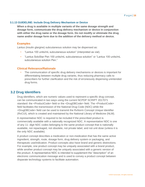## <span id="page-15-1"></span>**3.1.13 GUIDELINE: Include Drug Delivery Mechanism or Device**

**When a drug is available in multiple variants of the same dosage strength and dosage form, communicate the drug delivery mechanism or device in conjunction with either the drug name or the dosage form. Do not modify or eliminate the drug name and/or dosage form due to the addition of the delivery method or device.**

## **Examples**

Lantus (insulin glargine) subcutaneous solution may be dispensed as:

- "Lantus 100 units/mL subcutaneous solution" (interpreted as vial).
- "Lantus SoloStar Pen 100 units/mL subcutaneous solution" or "Lantus 100 units/mL subcutaneous solution Pen."

## **Clinical Relevance/Rationale**

• The communication of specific drug delivery mechanisms or devices is important for differentiating between multiple drug variants, thus reducing pharmacy calls to prescribers for further clarification and the risk of erroneously dispensing unintended drug forms.

## <span id="page-15-0"></span>**3.2 Drug Identifiers**

Drug identifiers, which are numeric values used to represent a specific drug concept, can be communicated in two ways using the current NCPDP SCRIPT 2017071 standard: the <ProductCode> field or the <DrugDBCode> field. The <ProductCode> field facilitates the transmission of the National Drug Code (NDC) while the <DrugDBCode> field can be used to transmit the RxNorm Concept Unique Identifier (RxCUI), which is created and maintained by the National Library of Medicine (NLM).

A representative NDC is required to be included if the prescribed product is commercially available with a nationally recognized NDC. A representative NDC is one of any 11- digit NDC codes belonging to the same product concept that is nationally available, not repackaged, not obsolete, not private label, and not unit dose (unless it is the only NDC available).

A product concept describes a medication or non-medication that has the same active ingredient, strength, route, dosage form, drug delivery system or packaging, and therapeutic use/indication. Product concepts also have brand and generic distinctions. For example, one product concept may be uniquely associated with a brand product, while another product concept may be uniquely associated with a generic version of the product. A representative NDC is intended to supplement the "description" of an electronic communication message and is used to convey a product concept between disparate technology systems to facilitate automation.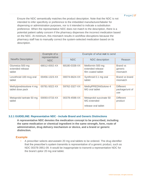Ensure the NDC semantically matches the product description. Note that the NDC is not intended to infer specificity or preference to the imbedded manufacturer/labeler for dispensing or administration purposes, nor is it intended to indicate a substitution preference. When the representative NDC does not match to the description, there is a potential patient safety concern if the pharmacy dispenses the incorrect medication based on the NDC. At minimum, this mismatch results in workflow disruptions because the pharmacy staff has to manually correct the system-selected medication based on its description.

|                                               | Example of a<br>representative |               | Example of what not to send                                   |                                            |  |
|-----------------------------------------------|--------------------------------|---------------|---------------------------------------------------------------|--------------------------------------------|--|
| <b>NewRx Description</b>                      | <b>NDC</b>                     | <b>NDC</b>    | <b>NDC</b> description                                        | Reason                                     |  |
| Glumetza 500 mg<br>extended release<br>tablet | 68012-0002-XX                  | 68180-0338-XX | Metformin 500 mg<br>extended release<br>film coated tablet    | Brand vs<br>generic<br>mismatch            |  |
| Levothroid 100 mcg oral<br>tablet             | 00456-1323-XX                  | 00074-6624-XX | Synthroid 0.1 mg oral<br>tablet                               | Brand vs brand<br>mismatch                 |  |
| Methylprednisolone 4 mg<br>tablet dose pack   | 00781-5022-XX                  | 59762-3327-XX | MethylPREDNISolone 4<br>MG oral tablet                        | <b>Different</b><br>package/unit of<br>use |  |
| Metoprolol tartrate 50 mg<br>tablet           | 00093-0733-XX                  | 00378-4598-XX | Metoprolol succinate 50<br>MG extended<br>release oral tablet | <b>Different</b><br>product                |  |

## **3.2.1 GUIDELINE: Representative NDC - Include Brand and Generic Distinctions**

**A representative NDC denotes the medication concept to be prescribed, including the same medication or chemical ingredient in the same strength, form, route of administration, drug delivery mechanism or device, and a brand or generic distinction.**

## **Example**

• A prescriber selects atorvastatin 20 mg oral tablets to be ordered. The drug identifier that the prescriber's system transmits is representative of a generic product, such as NDC 00378-3951-09. It would be inappropriate to transmit a representative NDC for the brand Lipitor 20 mg oral tablet.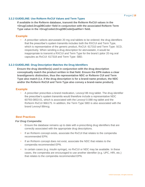## **3.2.2 GUIDELINE: Use RxNorm RxCUI Values and Term Types**

**If available in the RxNorm database, transmit the RxNorm RxCUI values in the <DrugCoded.DrugDBCode> field in conjunction with the associated RxNorm Term Type value in the <DrugCoded.DrugDBCodeQualifier> field.**

## **Example**

• A prescriber selects atorvastatin 20 mg oral tablets to be ordered; the drug identifiers that the prescriber's system transmits includes both the RXCUI and Term Type, which is representative of the generic product, RxCUI: 617310 and Term Type: SCD, respectively. When sending a drug description for atorvastatin, it would be inappropriate to transmit a RXCUI and Term Type for the brand Lipitor 20 mg oral capsules as RxCUI: 617318 and Term Type: SBD.

#### **3.2.3 GUIDELINE: Drug Description Matches the Drug Identifiers**

**Ensure the drug identifier(s) used in conjunction with the drug description conceptually match the product written in that field. Ensure the EPN makes a clear brand/generic distinction, thus the representative NDC or RxNorm CUI and Term Type also match (i.e. if the drug description is for a brand-name product, the NDC and/or the RxNorm RxCUI and Term Type also convey a brand-name product).**

#### **Example**

• A prescriber prescribes a brand medication, Levoxyl 88 mcg tablet. The drug identifier the prescriber's system transmits would therefore include a representative NDC 60793-0853-01, which is associated with the Levoxyl 0.088 mg tablet and the RxNorm RxCUI 966175. In addition, the Term Type SBD is also associated with the brand Levoxyl 88mcg.

#### **Best Practices**

#### *For Drug Compendia:*

- Ensure the database remains up to date with e-prescribing drug identifiers that are correctly associated with the appropriate drug descriptions.
- If an RxNorm concept exists, associate the RxCUI that relates to the compendia recommended EPN.
- If an RxNorm concept does not exist, associate the NDC that relates to the compendia recommended EPN.
- In certain cases (e.g. insulin syringe), no RxCUI or NDC may be available. In these cases, the compendia are encouraged to use another identifier (e.g. UPC, HRI, etc.) that relates to the compendia recommended EPN.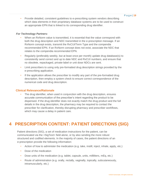• Provide detailed, consistent guidelines to e-prescribing system vendors describing which data elements in their proprietary database systems are to be used to construct an appropriate EPN that is linked to its corresponding drug identifier.

## *For Technology Partners:*

- When an RxNorm value is transmitted, it is essential that the value correspond with both the drug description and NDC transmitted in the e-prescription message. If an RxNorm concept exists, transmit the RxCUI/Term Type and the compendia recommended EPN. If an RxNorm concept does not exist, associate the NDC that relates to the compendia recommended EPN.
- Regularly (preferably weekly, but at least once per month) update drug database(s) to consistently send correct and up to date NDC and RxCUI numbers, and ensure that no obsolete, repackaged, private-label or unit dose NDCs are sent.
- Limit prescribers to using only pre-formatted drug description strings provided by the e-prescribing application.
- If the application allows the prescriber to modify any part of the pre-formatted drug description, then employ a system check to ensure correct correspondence of the numerical code and drug description.

## **Clinical Relevance/Rationale**

The drug identifier, when used in conjunction with the drug description, ensures accurate communication of the prescriber's intent regarding the product to be dispensed. If the drug identifier does not exactly match the drug product and the full details in the drug description, the pharmacy may be required to contact the prescriber for clarification, thereby disrupting pharmacy and prescriber workflows, which may cause a delay in patient care.

# <span id="page-18-0"></span>**4 PRESCRIPTION CONTENT: PATIENT DIRECTIONS (SIG)**

Patient directions (SIG), a set of medication instructions for the patient, can be communicated via the <SigText> field alone, or by also sending the more robust structured and codified elements. In the majority of cases, the patient directions of an e-prescription provide the following information:

- Action of how to administer the medication (e.g. take, instill, inject, inhale, apply, etc.)
- Dose of the medication
- Dose units of the medication (e.g. tablet, capsule, units, milliliters, mEq, etc.)
- Route of administration (e.g. orally, rectally, vaginally, topically, subcutaneously, intramuscularly, etc.)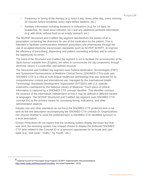- Frequency or timing of the therapy (e.g. twice a day, every other day, every morning 30 minutes before breakfast, every night before bedtime, etc.)
- Auxiliary information including durations or indications (e.g. for 14 days, for headaches, for nasal sinus infection, etc.) and any additional pertinent information (e.g. with drink, without food on an empty stomach, etc.)

The NCPDP Structured and Codified Sig segment standardizes the portion of an eprescription containing the directions for use of the medication by the patient. This is intended to facilitate communication between prescribers and pharmacists through the use of accepted electronic transmission standards, such as NCPDP SCRIPT, to improve the efficiency of prescribing, dispensing and patient counseling activities and to reduce the opportunity for errors.<sup>2</sup>

*The intent of the Structured and Codified Sig segment is not to facilitate the reconstruction of the Sig to human readable form (English), but rather to communicate the Sig components through electronic means in a controlled, well-defined structure.*

The Structured and Codified Sig segment uses Federal Medication Terminologies (FMT) and Systemized Nomenclature of Medicine Clinical Terms (SNOMED CT®) code sets. SNOMED CT® is a clinical multi-lingual healthcare terminology that was selected for its comprehensive content and international use, managed by the International Health Terminology Standards Development Organization (IHTSDO) with U.S.-specific extensions maintained by the National Library of Medicine.\* Each piece of clinical information is captured by a SNOMED CT® concept identifier. This identifier conveys the essence of the information, independent of how it may be defined in different locales or languages. The NCPDP Structured and Codified Sig segment uses SNOMED CT® concept IDs as the primary means for conveying timing, indications, and other administration aspects.

Industry use and other standards do not force the SNOMED CT® preferred term to be sent as the text description accompanying the SNOMED CT® concept ID. Organizations can choose whether to send the preferred term, a SNOMED CT® identified synonym or a local description.

Ensure Prescribers do not expect that the receiving system display the exact text that was sent; the receiving system may instead choose to display the preferred SNOMED CT® term related to the Concept ID or a synonym appropriate for its locale and user base (e.g. "oral route," "orally," "by mouth," etc.).

**<sup>2</sup>** National Council for Prescription Drug Programs SCRIPT Implementation Recommendations [https://www.ncpdp.org/Resources/ePrescribing. \(](https://www.ncpdp.org/Resources/ePrescribing)Accessed September, 2015)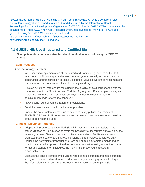\*Systematized Nomenclature of Medicine Clinical Terms (SNOMED CT®) is a comprehensive clinical terminology that is owned, maintained, and distributed by the International Health Terminology Standards Development Organisation (IHTSDO). The SNOMED CT® code sets can be obtained from: http://www.nlm.nih.gov/research/umls/Snomed/snomed\_main.html FAQs and guides to using SNOMED CT® codes can be found at: http://www.nlm.nih.gov/research/umls/Snomed/snomed\_faq.html and http://ihtsdo.org/fileadmin/user\_upload/doc/

## <span id="page-20-0"></span>**4.1 GUIDELINE: Use Structured and Codified Sig**

**Send patient directions in a structured and codified manner following the SCRIPT standard.**

## **Best Practices**

#### *For Technology Partners:*

- When initiating implementation of Structured and Codified Sig, determine the 100 most common Sig concepts and make sure the system can fully accommodate the construction and transmission of these Sig strings. Develop system enhancements to accommodate the codification of less frequently used Sigs.
- Develop functionality to ensure the string in the <SigText> field corresponds with the discrete codes in the Structured and Codified Sig segment. For example, display an alert if the text in the <SigText> field conveys "by mouth" when the route of administration code is for "subcutaneous."
- Always send route of administration for medications.
- Send the dose delivery method whenever possible
- Ensure the code systems remain up to date with newly published versions of SNOMED CT® and FMT code sets. It is recommended that the most recent version of the code system be used.

## **Clinical Relevance/Rationale**

- Adoption of Structured and Codified Sig minimizes ambiguity and assists in the standardization of Sigs in effort to avoid the possibility of inaccurate translation by the receiving partner. Standardization minimizes permutations, facilitates accuracy, promotes patient safety, and improves efficiency. Standardized, structured data reduces the potential for transcription errors and enables automated monitoring of quality metrics. When prescription directions are transmitted using a structured data format and standard terminologies, the meaning is preserved in a systemprocessable form.
- Because the clinical components such as route of administration and administration timing are represented as standardized terms, every receiving system will interpret the information in the same way. Moreover, each receiver can map the Sig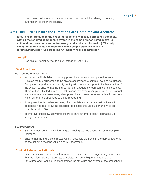components to its internal data structures to support clinical alerts, dispensing automation, or other processing.

## <span id="page-21-0"></span>**4.2 GUIDELINE: Ensure the Directions are Complete and Accurate**

**Ensure all information in the patient directions is clinically correct and complete, with all the required components written in the same order as listed above (i.e. action, dose, dose units, route, frequency, and auxiliary information). The only exception to this syntax is directions which simply state "Take/use as directed/instructed." See guideline 4.4: Qualify "Take as Directed."**

## **Example**

• Use "Take 1 tablet by mouth daily" instead of just "Daily."

## **Best Practices**

#### *For Technology Partners:*

- Implement a Sig-builder tool to help prescribers construct complete directions. Develop the Sig-builder tool to be able to accommodate complex patient instructions. Complete comprehensive usability testing with prescribers prior to implementation of the system to ensure that the Sig-builder can adequately represent complex strings. There will be a limited number of instructions that even a complex Sig-builder cannot accommodate. In these cases, allow prescribers to enter free-text patient instructions, which will then be appended to the formatted Sig.
- If the prescriber is unable to convey the complete and accurate instructions with appended free-text, allow the prescriber to disable the Sig-builder and write an entirely free-text Sig.
- To improve efficiency, allow prescribers to save favorite, properly formatted Sig strings for future use.

## *For Prescribers:*

- Save the most commonly written Sigs, including tapered doses and other complex regimens.
- Ensure that the Sig is constructed with all essential elements in the appropriate order so the patient directions will be clearly understood.

## **Clinical Relevance/Rationale**

• Since directions contain the information for patient use of a drug/therapy, it is critical that the information be accurate, complete, and unambiguous. The use of a Structured and Codified Sig standardizes the structure and syntax of the prescriber's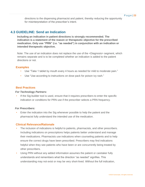directions to the dispensing pharmacist and patient, thereby reducing the opportunity for misinterpretation of the prescriber's intent.

## <span id="page-22-0"></span>**4.3 GUIDELINE: Send an Indication**

**Including an indication in patient directions is strongly recommended. The indication is a statement of the reason or therapeutic objective for the prescribed medication. Only use "PRN" (i.e. "as needed") in conjunction with an indication or intended therapeutic objective.**

Note: The use of an indication does not replace the use of the <Diagnosis> segment, which remains separate and is to be completed whether an indication is added to the patient directions or not.

## **Examples**

- Use "Take 1 tablet by mouth every 4 hours as needed for mild to moderate pain."
- Use "Use according to instructions on dose pack for poison ivy rash."

#### **Best Practices**

#### *For Technology Partners:*

• If the Sig-builder tool is used, ensure that it requires prescribers to enter the specific indication or conditions for PRN use if the prescriber selects a PRN frequency.

### *For Prescribers:*

• Enter the indication into the Sig whenever possible to help the patient and the pharmacist fully understand the intended use of the medication.

## **Clinical Relevance/Rationale**

- The inclusion of indications is helpful to patients, pharmacists, and other prescribers. Including indications on prescriptions helps patients better understand and manage their medications. Pharmacists use indications when counseling patients and to help ensure the correct drugs have been prescribed. Prescribers may find indications helpful when they see patients who have been or are concurrently being treated by other prescribers.
- Using PRN without any added information assumes the patient or caretaker fully understands and remembers what the direction "as needed" signifies. This understanding may not exist or may be very short-lived. Without the full indication,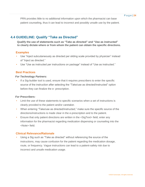PRN provides little to no additional information upon which the pharmacist can base patient counseling, thus it can lead to incorrect and possibly unsafe use by the patient.

## <span id="page-23-0"></span>**4.4 GUIDELINE: Qualify "Take as Directed"**

**Qualify the use of statements such as "Take as directed" and "Use as instructed" to clearly dictate where or from whom the patient can obtain the specific directions.**

## **Examples**

- Use "Inject subcutaneously as directed per sliding scale provided by physician" instead of "Inject as directed."
- Use "Use as instructed per instructions on package" instead of "Use as instructed."

## **Best Practices**

#### *For Technology Partners:*

If a Sig-builder tool is used, ensure that it requires prescribers to enter the specific source of the instruction after selecting the "Take/use as directed/instructed" option before they can finalize the e- prescription.

## *For Prescribers:*

- Limit the use of these statements to specific scenarios when a set of instructions is clearly provided to the patient and/or caretaker.
- When entering "Take/use as directed/instructed," make sure the specific source of the directions/instructions is made clear in the e-prescription and to the patient.
- Ensure that only patient directions are written in the <SigText> field; enter any information for the pharmacist regarding medication dispensing or counseling into the <Note> field.

## **Clinical Relevance/Rationale**

• Using a Sig such as "Take as directed" without referencing the source of the instructions, may cause confusion for the patient regarding the medication dosage, route, or frequency. Vague instructions can lead to a patient-safety risk due to incorrect and unsafe medication usage.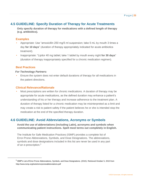## <span id="page-24-0"></span>**4.5 GUIDELINE: Specify Duration of Therapy for Acute Treatments**

**Only specify duration of therapy for medications with a defined length of therapy (e.g. antibiotics).**

## **Examples**

- Appropriate: Use "amoxicillin 250 mg/5 ml suspension; take 5 mL by mouth 3 times a day **for 10 days**" (duration of therapy appropriately indicated for acute antibiotics treatment).
- Inappropriate: "Lipitor 40 mg tablet; take 1 tablet by mouth every night **for 30 days**" (duration of therapy inappropriately specified for a chronic medication regimen).

## **Best Practices**

## *For Technology Partners:*

• Ensure the system does not enter default durations of therapy for all medications in the patient directions.

## **Clinical Relevance/Rationale**

• Most prescriptions are written for chronic medications. A duration of therapy may be appropriate for acute medications, as the defined duration may enhance a patient's understanding of his or her therapy and increase adherence to the treatment plan. A duration of therapy listed for a chronic medication may be misinterpreted as a limit and may create a risk to patient safety if the patient believes he or she is intended stop the medication at the end of the specified therapy duration.

## <span id="page-24-1"></span>**4.6 GUIDELINE: Avoid Abbreviations, Acronyms or Symbols**

**Avoid the use of abbreviations (including Latin), acronyms and symbols when communicating patient instructions. Spell most terms out completely in English.**

The Institute for Safe Medication Practices (ISMP) provides a complete list of Error-Prone Abbreviations, Symbols, and Dose Designations. The abbreviations, symbols and dose designations included in this list are never be used in any part of an e-prescription.<sup>3</sup>

<sup>&</sup>lt;sup>3</sup> ISMP's List of Error-Prone Abbreviations, Symbols, and Dose Designations. (2015). Retrieved October 5, 2015 from <http://www.ismp.org/tools/errorproneabbreviations.pdf>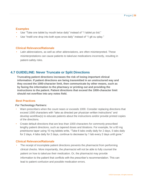## **Examples**

- Use "Take one tablet by mouth twice daily" instead of "1 tablet po bid."
- Use "Instill one drop into both eyes once daily" instead of "1 gtt ou qday."

## **Clinical Relevance/Rationale**

• Latin abbreviations, as well as other abbreviations, are often misinterpreted. These misinterpretations can cause patients to take/use medications incorrectly, resulting in patient-safety risks.

## <span id="page-25-0"></span>**4.7 GUIDELINE: Never Truncate or Split Directions**

**Truncating patient directions increases the risk of losing important clinical information. If patient directions are being transmitted in an unstructured way and they exceed the 1000-character limit, then communicate by other means, such as by faxing the information to the pharmacy or printing out and providing the instructions to the patient. Patient directions that exceed the 1000-character limit should not overflow into any notes field.**

## **Best Practices**

## *For Technology Partners:*

- Warn prescribers when the count nears or exceeds 1000. Consider replacing directions that exceed 1000 characters with "take as directed per physician written instructions" and develop workflow(s) to educate patients about the instructions and/or provide printed copies of the directions.
- Create default directions that are less than 1000 characters for commonly prescribed lengthy patient directions, such as tapered doses and titrations. For example, for a 60 mg prednisone taper using 10 mg tablets write, "Take 6 tabs orally daily for 2 days, 5 tabs daily for 2 days, 4 tabs daily for 2 days, continue to decrease by 1 tab every 2 days until gone."

## **Clinical Relevance/Rationale**

The receipt of incomplete patient directions prevents the pharmacist from performing clinical checks. More importantly, the pharmacist will not be able to fully counsel the patient on how to take/use their medication. Or, the pharmacist may provide information to the patient that conflicts with the prescriber's recommendation. This can lead to patient confusion and possible medication errors.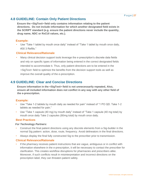## <span id="page-26-0"></span>**4.8 GUIDELINE: Contain Only Patient Directions**

**Ensure the <SigText> field only contains information relating to the patient directions. Do not include information for which another designated field exists in the SCRIPT standard (e.g. ensure the patient directions never include the quantity, drug name, NDC or RxCUI values, etc.).**

## **Example:**

• Use "Take 1 tablet by mouth once daily" instead of "Take 1 tablet by mouth once daily, #30 3 Refills."

## **Clinical Relevance/Rationale**

• Many clinical decision support tools leverage the e-prescription's discrete data fields and rely on specific types of information being entered in the correct designated fields intended to accommodate it. Thus, only patient directions are to be entered in the <SigText> field to optimize the benefits from the decision support tools as well as improve the overall quality of the e-prescription.

## <span id="page-26-1"></span>**4.9 GUIDELINE: Clear and Concise Directions**

**Ensure information in the <SigText> field is not unnecessarily repeated, Also, ensure all included information does not conflict in any way with any other field of the e-prescription.**

## **Example:**

- Use "Take 1-2 tablets by mouth daily as needed for pain" instead of "1 PO QD. Take 1-2 tablets as needed for pain."
- Use "Take 1 capsule (40 mg) by mouth daily" instead of "Take 1 capsule (40 mg total) by mouth once daily Take 2 capsules (80mg total) by mouth once daily.

## **Best Practices**

#### *For Technology Partners:*

- Construct the final patient directions using any discrete elements from a Sig-builder in the normal Sig pattern: action, dose, route, frequency. Avoid delineators in the final directions.
- Always display the final fully constructed Sig to the prescriber prior to transmission.

## **Clinical Relevance/Rationale**

If the pharmacy receives patient instructions that are vague, ambiguous or in conflict with information elsewhere in the e-prescription, it will be necessary to contact the prescriber for clarification. This creates workflow disruptions for pharmacies and prescribers alike. Moreover, if such conflicts result in misinterpretation and incorrect directions on the prescription label, they can threaten patient safety.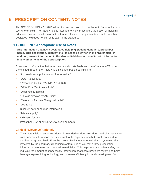# <span id="page-27-0"></span>**5 PRESCRIPTION CONTENT: NOTES**

The NCPDP SCRIPT v2017071 allows the transmission of the optional 210-character freetext <Note> field. The <Note> field is intended to allow prescribers the option of including additional patient- specific information that is relevant to the prescription, but for which a dedicated field does not currently exist in the standard.

## <span id="page-27-1"></span>**5.1 GUIDELINE: Appropriate Use of Notes**

**Any information that has a designated field (e.g. patient identifiers, prescriber name, drug description, quantity, etc.) is not to be written in the <Note> field. In addition, ensure information in the <Note> field does not conflict with information in any other fields of the e-prescription.**

Examples of information that have their own discrete fields and therefore are **NOT** to be transmitted through the <Note> field includes, but is not limited to:

- "Pt. needs an appointment for further refills."
- "DOB: 12-12-1900"
- "Prescribed by: Dr. XYZ NPI: 123456789"
- "DAW 1" or "OK to substitute"
- "Dispense 30 tablets"
- "Take as directed by AC Clinic"
- "Metoprolol Tartrate 50 mg oral tablet"
- $"Dx: 401.9"$
- Discount card or coupon information
- "90-day supply"
- Indication for use
- Prescriber DEA or NADEAN ("XDEA") numbers

## **Clinical Relevance/Rationale**

• The <Note> field of an e-prescription is intended to allow prescribers and pharmacists to communicate information that is relevant to the e-prescription but is not contained in another designated field. Since the <Note> field is not automatically or systematically reviewed by the pharmacy dispensing system, it is crucial that all key prescription information be entered into the designated fields. This helps improve patient safety by reducing the amount of unnecessary information healthcare providers review and helps leverage e-prescribing technology and increase efficiency in the dispensing workflow.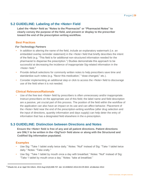## <span id="page-28-0"></span>**5.2 GUIDELINE: Labeling of the <Note> Field**

**Label the <Note> field as "Notes to the Pharmacist" or "Pharmacist Notes" to clearly convey the purpose of the field, and present or display to the prescriber toward the end of the prescription writing workflow.**

## **Best Practices**

#### *For Technology Partners*

- In addition to altering the name of the field, include an explanatory watermark (i.e. an embedded overlay reminder statement) in the <Note> field that briefly describes the intent of the field (e.g. "This field is for additional non-structured information needed for the pharmacist to dispense the prescription.") Studies demonstrate this approach to be successful at decreasing the incidence of inappropriate Sig-related information in the <Note> field.<sup>4</sup>
- Provide default selections for commonly written notes to help prescribers save time and standardize such notes (e.g. "flavor this medication," "dose changed," etc.).
- Consider implementing an additional step or click to access the <Note> field to discourage use of the field when it is not needed.

## **Clinical Relevance/Rationale**

Use of the free text <Note> field by prescribers is often unnecessary and/or inappropriate. Instruct prescribers on the appropriate use of this field; the label name and field description are a passive, yet crucial part of this process. The position of the field within the workflow of the application can also have an impact on its use and can affect behavior. Placement of the <Note> field near the end of the prescription-writing workflow (after drug selection and the input of directions, quantity information and days supply) can help deter the entry of information that has a designated field elsewhere in the e-prescription.

## <span id="page-28-1"></span>**5.3 GUIDELINE: Distinction between Directions and Notes**

**Ensure the <Note> field is free of any and all patient directions. Patient directions are ONLY to be written in the <SigText> field alone or along with the Structured and Codified Sig information populated.**

## **Examples**

- Use Sig: "Take 1 tablet orally twice daily." Notes: "Null" instead of Sig: "Take 1 tablet twice daily." Notes: "Take orally."
- Use Sig: "Take 1 tablet by mouth once a day with breakfast." Notes: "Null" instead of Sig: "Take 1 tablet by mouth once a day." Notes: "take at breakfast."

<sup>4</sup> Dhavle AA, et [al. Appl Clin Inform. 20](http://www.ncbi.nlm.nih.gov/pubmed/25298810)14 Aug 6;5(3):699-707. doi: 10.4338/ACI-2014-03-CR-0022. eCollection 2014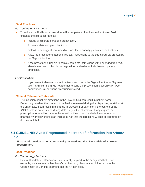## **Best Practices**

### *For Technology Partners:*

- To reduce the likelihood a prescriber will enter patient directions in the <Note> field, enhance the sig-builder tool to:
	- o Include all discrete parts of a prescription.
	- o Accommodate complex directions.
	- o Default to or suggest common directions for frequently prescribed medications.
	- o Allow the prescriber to append free-text instructions to the structured Sig created by the Sig- builder tool.
	- o If the prescriber is unable to convey complete instructions with appended free-text, allow him or her to disable the Sig-builder and write entirely free-text patient directions.

#### *For Prescribers:*

o If you are not able to construct patient directions in the Sig-builder tool or Sig freetext (<SigText> field), do not attempt to send the prescription electronically. Use handwritten, fax or phone prescribing instead.

## **Clinical Relevance/Rationale**

The inclusion of patient directions in the <Note> field can result in patient harm. Depending on when the content of the field is reviewed during the dispensing workflow at the pharmacy, it can result in a change in process. For example, if the content of the <Note> field is not reviewed during data entry in the pharmacy, it may require the prescription to be edited later in the workflow. Due to such a deviation from normal pharmacy workflow, there is an increased risk that the directions will not be captured on the patient label.

## <span id="page-29-0"></span>**5.4 GUIDELINE: Avoid Programmed Insertion of Information into <Note> Field**

**Ensure information is not automatically inserted into the <Note> field of a new eprescription.**

## **Best Practices**

#### *For Technology Partners:*

• Ensure that default information is consistently applied to the designated field. For example, transmit any patient benefit or pharmacy discount card information in the Coordination of Benefits segment, not the <Note> field.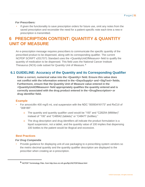## *For Prescribers:*

If given the functionality to save prescription orders for future use, omit any notes from the saved prescription and reconsider the need for a patient-specific note each time a new eprescription is transmitted.

# <span id="page-30-0"></span>**6 PRESCRIPTION CONTENT: QUANTITY & QUANTITY UNIT OF MEASURE**

An e-prescription message requires prescribers to communicate the specific quantity of the prescribed product to be dispensed, along with its corresponding qualifier. The current NCPDP SCRIPT v2017071 Standard uses the <QuantityUnitOfMeasure> field to qualify the quantity of medication to be dispensed. This field uses the National Cancer Institute Thesaurus (NCIt) code subset for Quantity Unit of Measure. <sup>5</sup>

## <span id="page-30-1"></span>**6.1 GUIDELINE: Accuracy of the Quantity and its Corresponding Qualifier**

**Enter a correct, numerical value into the <Quantity> field. Ensure this value does not conflict with the information entered in the <DaysSupply> and <SigText> fields. Furthermore, ensure that the Quantity Unit of Measure value entered in the <QuantityUnitOfMeasure> field appropriately qualifies the quantity entered and is correctly associated with the drug product entered in the <DrugDescription> or drug identifier field.**

## **Example**

- For amoxicillin 400 mg/5 mL oral suspension with the NDC "00093416173" and RxCUI of "308189":
	- o The quantity and quantity qualifier used would be "100" and "C28254 (Milliliter)" instead of "100" and "C48542 (tablets)" or "C48477 (bottles)."
	- o The drug description and drug identifiers all indicate the product formulation is a liquid suspension, not a tablet, and the quantity value of 100 implies that dispensing 100 bottles to the patient would be illogical and excessive.

## **Best Practices**

## *For Drug Compendia*

• Provide guidance for displaying unit-of-use packaging to e-prescribing system vendors so the metric-decimal quantity and the quantity qualifier description are displayed to the prescriber when creating an e-prescription.

**<sup>5</sup>** NCPDP Terminology Files. fr[om http://evs.nci.nih.gov/ftp1/NCPDP/About.html](http://evs.nci.nih.gov/ftp1/NCPDP/About.html)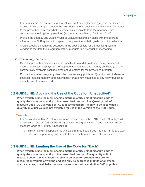- For drugs/items that are measured in volume (mL) or weight/mass (gm) and are dispensed in unit- of-use packaging, ensure the prescription metric decimal quantity options displayed to the prescriber represent what is commercially available from the pharmaceutical company for the drug/item prescribed (e.g. eye drops – 5 mL, 10 mL, or 15 mL).
- Provide the quantity and Quantity Unit of Measure description along with the package information to EHR systems to display to the prescriber to help guide his or her selection.
- Create specific guidance as described in the above bullets for e-prescribing system vendors to facilitate the integration of their products in e-prescription messaging.

## *For Technology Partners:*

- Once the prescriber has identified the specific drug and drug dosage being prescribed, ensure the system displays a list of appropriate quantities and quantity qualifiers (e.g. the commercially available package sizes and quantities for the prescribed product).
- Ensure that systems regularly check the most recently published Quantity Unit of Measure code set (at least monthly) and continuously create new mappings to any newly published quantity unit of measure codes.

## <span id="page-31-0"></span>**6.2 GUIDELINE: Avoiding the Use of the Code for "Unspecified"**

**When available, use the most specific metric quantity unit of measure code to qualify the dispense quantity of the prescribed product. The Quantity Unit of Measure Code (QUOM) value of "C38046 (Unspecified)" is only to be used when a quantity qualifier value is not available for use in the version of the NCIt Codes.**

## **Example**

- For "amoxicillin 400 mg/5 mL oral suspension" use a quantity of "100" and a Quantity Unit of Measure Code of "C28254 (Milliliter)," instead of a quantity of "1" and Quantity Unit of Measure Code of "C38046 (Unspecified)."
	- o This amoxicillin suspension is available in three bottle sizes 50 mL, 75 mL and 100 mL, and the pharmacy will need to know exactly which size bottle to dispense.

## <span id="page-31-1"></span>**6.3 GUIDELINE: Limiting the Use of the Code for "Each"**

**When available, use the most specific metric quantity unit of measure code to qualify the dispense quantity of the prescribed product. The quantity unit of measure code "C64933 (Each)" is only to be used for products that are not measured in volume or weight, and can only be expressed in units of one/each, such as canes, wheelchairs, various braces or orthotics and other DME supplies.**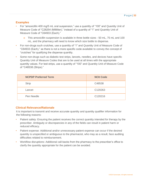## **Examples**

- For "amoxicillin 400 mg/5 mL oral suspension," use a quantity of "100" and Quantity Unit of Measure Code of "C28254 (Milliliter)," instead of a quantity of "1" and Quantity Unit of Measure Code of "C64933 (Each)."
	- o This amoxicillin suspension is available in three bottle sizes 50 mL, 75 mL and 100 mL, and the pharmacy will need to know which size bottle to dispense.
- For non-drugs such crutches, use a quantity of "1" and Quantity Unit of Measure Code of "C64933 (Each)," as there is not a more specific code available to convey the concept of "crutches" for qualifying the dispense quantity.
- Some non-drugs such as diabetic test strips, lancets, needles, and devices have specific Quantity Unit of Measure Codes that are to be used at all times with the appropriate quantity values. For test strips, use a quantity of "100" and Quantity Unit of Measure Code of "C48538 (Strips)."

| <b>NCPDP Preferred Term</b> | <b>NCIt Code</b> |
|-----------------------------|------------------|
| <b>Strip</b>                | C48538           |
| Lancet                      | C120263          |
| Pen Needle                  | C120216          |

## **Clinical Relevance/Rationale**

It is important to transmit and receive accurate quantity and quantity qualifier information for the following reasons:

- Patient safety: Ensuring the patient receives the correct quantity intended for therapy by the prescriber. Ambiguity or discrepancies in any of the fields can result in patient harm or reduced efficacy.
- Patient expense: Additional and/or unnecessary patient expense can occur if the desired quantity is unspecified or ambiguous to the pharmacist, who may as a result, face auditing difficulties related to reimbursement.
- Workflow disruptions: Additional call-backs from the pharmacy to the prescriber's office to clarify the quantity appropriate for the patient can be avoided.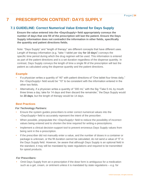# <span id="page-33-0"></span>**7 PRESCRIPTION CONTENT: DAYS SUPPLY**

## <span id="page-33-1"></span>**7.1 GUIDELINE: Correct Numerical Value Entered for Days Supply**

**Ensure the value entered into the <DaysSupply> field appropriately conveys the number of days that one fill of the prescription will last the patient. Ensure the Days Supply information does not contradict the information in other fields, specifically the quantity and patient directions fields.**

Note: "Days Supply" and "length of therapy" are different concepts that have different uses. Length of therapy information (e.g. "take 1 tablet per day **for 10 days**") conveys the specific time period during which the drug regimen will be used. This information is entered as part of the patient directions and is a set duration regardless of the dispense quantity. In contrast, Days Supply conveys the length of time a single fill of the prescription will last the patient as calculated using the dispense quantity and the patient directions.

## **Example**

- If a physician writes a quantity of "40" with patient directions of "One tablet four times daily," the <DaysSupply> field would be "10" to be consistent with the information entered in the other two fields.
- Alternatively, if a physician writes a quantity of "300 mL" with the Sig "Take 5 mL by mouth three times a day; take for 14 days and then discard the remainder," the Days Supply would be 20 days, but the length of therapy would be 14 days.

## **Best Practices**

## *For Technology Partners:*

- Ensure the system guides prescribers to enter correct numerical values into the <DaysSupply> field to accurately represent the intent of the prescriber.
- When possible, prepopulate the <DaysSupply> field to reduce the possibility of incorrect values being entered and to shorten the time required for writing e-prescriptions.
- Implement a clinical decision-support tool to prevent erroneous Days Supply values from being sent in the e-prescription.
- If the prescriber did not manually enter a value, and the number of doses in a container or package is unknown, or the fill duration cannot be calculated, do not send a value of "0" in the Days Supply field. However, be aware that although Days Supply is an optional field in the standard, it may still be mandated by state regulations and required to be transmitted for opioid products.

## *For Prescribers:*

• Omit Days Supply from an e-prescription if the dose form is ambiguous for a medication such as a gel, cream, or ointment unless it is mandated by state regulations  $-e.g.$  for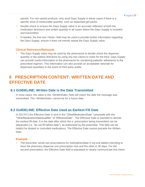opioids. For non-opioid products, only send Days Supply in these cases if there is a specific dose of measurable quantity, such as separated gel packs.

- Double-check to ensure the Days Supply value is an accurate reflection of both the medication directions and written quantity in all cases where the Days Supply is included and transmitted.
- If needed, the free text <Note> field may be used to provide further information regarding the Days Supply; ensure it does not merely repeat the Days Supply value.

## **Clinical Relevance/Rationale**

The Days Supply value may be used by the pharmacist to double-check the dispense quantity or the patient directions by using any two values to solve for the third. Days Supply can provide useful information to the pharmacist for monitoring patients' adherence to the prescribed regimen. This information can also provide an acceptable rationale for dispensed quantities in the event of third-party audits.

# <span id="page-34-0"></span>**8 PRESCRIPTION CONTENT: WRITTEN DATE AND EFFECTIVE DATE**

## <span id="page-34-1"></span>**8.1 GUIDELINE: Written Date is the Date Transmitted**

In most cases, the value in the <WrittenDate> field will match the date the message was transmitted. The <WrittenDate> cannot be for a future date.

## <span id="page-34-2"></span>**8.2 GUIDELINE: Effective Date Used as Earliest Fill Date**

In 2017071 the Effective Date is sent in the "OtherMedicationDate" composite with the "OtherMedicationDateQualifier" of "EffectiveDate". The Effective Date is intended to denote the earliest fill date. It is the date after which the e- prescription being transmitted can be dispensed (i.e. "do not fill before date"), as authorized by the prescriber. This field can be helpful for titrated or controlled medications. The Effective Date cannot precede the Written Date.

## **Example**

• The prescriber sends two prescriptions for methylphenidate 5 mg oral tablets intending to have the pharmacy dispense one prescription now and the other in 30 days. For the second prescription, the Effective Date field is populated to clearly communicate this intent.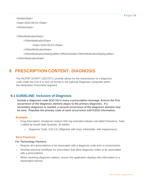<WrittenDate> <Date>2020-08-01</Date> </WrittenDate>

<OtherMedicationDate>

<OtherMedicationDate>

<Date>2020-09-01</Date>

</OtherMedicationDate>

<OtherMedicationDateQualifier>EffectiveDate</OtherMedicationDateQualifier>

</OtherMedicationDate>

# <span id="page-35-0"></span>**9 PRESCRIPTION CONTENT: DIAGNOSIS**

The NCPDP SCRIPT v2017071 currently allows for the transmission of a diagnosis code under the ICD-9 or ICD-10 format in the optional Diagnosis composite within the Medication Prescribed segment.

## <span id="page-35-1"></span>**9.1 GUIDELINE: Inclusion of Diagnosis**

**Include a diagnosis code (ICD-10) in every e-prescription message. Ensure the first occurrence of the diagnosis element aligns to the primary diagnosis. If a secondary diagnosis is needed, a second occurrence of the diagnosis element may be sent. Populate the primary code of each occurrence with ICD10 information.** 

## **Example**

- Drug Description: Divalproex sodium 500 mg extended release oral tablet Directions: Take 1 tablet by mouth daily Quantity: 30 tablets
	- o Diagnosis Code: G43.111 (Migraine with Aura, intractable, with migrainosus)

## **Best Practices**

#### *For Technology Partners:*

- Require all e-prescriptions to be associated with a diagnosis code prior to transmission.
- Develop practical workflows for prescribers that allow diagnosis codes to be associated with e-prescriptions.
- When receiving diagnosis code(s), ensure the application displays this information in a meaningful manner.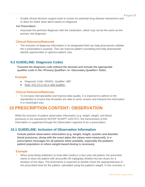• Enable clinical decision support tools to screen for potential drug-disease interactions and to allow for better dose alerts based on diagnosis.

#### *For Prescribers:*

• Associate the pertinent diagnosis with the medication, which may not be the same as the primary visit diagnosis.

## **Clinical Relevance/Rationale**

The inclusion of diagnosis information in its designated field can help pharmacists validate the e-prescription's purpose. This can improve patient counseling and help pharmacists identify opportunities to optimize patient care.

## <span id="page-36-0"></span>**9.2 GUIDELINE: Diagnosis Codes**

**Transmit the diagnosis code without the decimal and include the appropriate qualifier code in the <Primary.Qualifier> or <Secondary.Qualifier> fields.**

## **Example**

- Diagnosis Code: S93401, Qualifier: ABF
- Note: ICD-10 is not a valid qualifier.

## **Clinical Relevance/Rationale**

• To increase interoperability and improve data quality, it is important to adhere to the standard(s) to ensure that all parties are able to send, receive and interpret the information in a meaningful way.

# <span id="page-36-1"></span>**10 PRESCRIPTION CONTENT: OBSERVATION**

While the inclusion of patient observation information (e.g. height, weight, and blood pressure) is not required by NCPDP SCRIPT v2017071, the transmission of this information is supported through the Observation segment of an e-prescription.

## <span id="page-36-2"></span>**10.1 GUIDELINE: Inclusion of Observation Information**

**Include patient observation information (e.g. weight, height, systolic and diastolic blood pressures, along with the exact dates the values were measured), in eprescription messages for all patients when available, especially the pediatric patient population or where weight-based dosing is necessary.**

## **Example**

• When prescribing antibiotics to treat otitis media in a four-year-old patient, the prescriber wants to dose the patient with amoxicillin 90 mg/kg/day divided into two doses for a duration of five days. The pharmacist is expected to double-check the appropriateness of the prescribed dose for the patient, calculated using the patient's weight. In this scenario, it

©2020 Surescripts. All rights reserved.

P a g e | **37**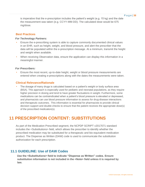is imperative that the e-prescription includes the patient's weight (e.g. 15 kg) and the date the measurement was taken (e.g. CCYY-MM-DD). The calculated dose would be 675 mg/dose.

## **Best Practices**

#### *For Technology Partners:*

- Ensure the e-prescribing system is able to capture commonly documented clinical values in an EHR, such as height, weight, and blood pressure, and alert the prescriber that the data will be populated within the e-prescription message. At a minimum, transmit the height and weight when available.
- When receiving Observation data, ensure the application can display this information in a meaningful manner.

#### *For Prescribers:*

• Ensure the most recent, up-to-date height, weight or blood pressure measurements are entered when creating e-prescriptions along with the dates the measurements were taken.

## **Clinical Relevance/Rationale**

• The dosage of many drugs is calculated based on a patient's weight or body surface area (BSA). This approach is especially used for pediatric and neonatal populations, as they require higher precision in dosing and tend to have greater fluctuations in weight. Furthermore, some medications can be contraindicated when a patient's blood pressure is elevated or depressed, and pharmacists can use blood pressure information to assess for drug-disease interactions and therapeutic outcomes. This information is essential for pharmacists to provide clinical decision support and double-checks to ensure that the patient receives the appropriate dose(s) of the prescribed medication(s).

# <span id="page-37-0"></span>**11 PRESCRIPTION CONTENT: SUBSTITUTIONS**

As part of the Medication Prescribed segment, the NCPDP SCRIPT v2017071 standard includes the <Substitutions> field, which allows the prescriber to identify whether the prescribed medication may be substituted for a therapeutic and bio-equivalent medication product. The Dispense as Written (DAW) code is used to communicate the substitution authorization for each prescription.

## <span id="page-37-1"></span>**11.1 GUIDELINE: Use of DAW Codes**

**Use the <Substitutions> field to indicate "Dispense as Written" codes. Ensure substitution information is not included in the <Note> field unless it is required by law.**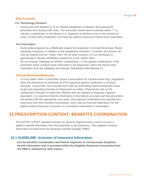## **Best Practices**

## *For Technology Partners:*

• Ensure this field defaults to "0" to indicate substitution is allowed, thus saving the prescriber time during order entry. The prescriber would need to actively select "1" to indicate a substitution is not allowed (i.e. Dispense as Written) if he or she chooses to order a brand-name medication and have the patient receive the brand-name medication.

## *For Prescribers:*

- Some state programs (e.g. Medicaid) require the prescriber to include the phrase "Brand medically necessary" in addition to the substitution indication. Currently, this phrase can only be entered into the <Note> field. For all other insurers, it is not necessary or appropriate to denote substitution preference in the <Note> field.
- Do not indicate "Dispense as Written" (Substitution = 1) for generic medications. If the prescriber wants a brand-name medication to be dispensed, select the brand-name medication from the database and indicate "Substitution Not Allowed (1)."

## **Clinical Relevance/Rationale**

• In most states, when a prescriber issues a prescription for a brand-name drug, regulations allow the pharmacist to substitute an FDA-approved generic medication in its place. However, a prescriber may override such rules by prescribing brand-name/trade-name drugs and requesting that they be dispensed as written. Pharmacists rely on the substitutions indicator to determine whether they are allowed to dispense a generic equivalent. It is important that the information in this field be accurate and that prescribers are familiar with the appropriate use cases. Since generic medications are typically less expensive than their branded counterparts, there may be financial implications for the patient and/or pharmacy if incorrect or inconsistent information is transmitted.

# <span id="page-38-0"></span>**12 PRESCRIPTION CONTENT: BENEFITS COORDINATION**

The NCPDP SCRIPT standard includes an optional segment that is used to convey a patient's benefit information from the prescriber to the pharmacy. This segment contains information received from the pharmacy benefit manager (PBM).

## <span id="page-38-1"></span>**12.1 GUIDELINE: Inclusion of Insurance Information**

**Use the Benefits Coordination and Patient segments to communicate all patient benefit information that is provided within the Eligibility Response transaction from the PBM or obtained by other means.**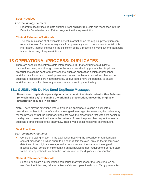## **Best Practices**

## *For Technology Partners:*

• Programmatically include data obtained from eligibility requests and responses into the Benefits Coordination and Patient segment in the e-prescription.

## **Clinical Relevance/Rationale**

The communication of all available benefit information on the original prescription can reduce the need for unnecessary calls from pharmacy staff to prescribers to obtain this information, thereby increasing the efficiency of the e-prescribing workflow and facilitating faster dispensing of e-prescriptions.

# <span id="page-39-0"></span>**13 OPERATIONAL/PROCESS: DUPLICATES**

There are aspects of electronic data interchange (EDI) that contribute to duplicate transactions being sent through intermediaries and received by pharmacies. Duplicate prescriptions can be sent for many reasons, such as application design or prescriber workflow. It is important to develop mechanisms and implement procedures that ensure duplicate prescriptions are not transmitted, as duplicates have the potential to cause workflow problems for pharmacy operations and risks to patient safety.

## <span id="page-39-1"></span>**13.1 GUIDELINE: Do Not Send Duplicate Messages**

**Do not send duplicate e-prescriptions that contain identical content within 24 hours (one calendar day) of sending the original e-prescription, unless the original eprescription resulted in an error.**

**Note:** There may be situations where it would be appropriate to send a duplicate eprescription within 24 hours of sending the original message. For example, the patient may tell the prescriber that the pharmacy does not have the prescription that was sent earlier in the day, and to ensure timeliness in the delivery of care, the prescriber may opt to send a duplicate e-prescription to the pharmacy. These types of scenarios will be infrequent.

## **Best Practices**

#### *For Technology Partners:*

• Consider creating an alert in the application notifying the prescriber that a duplicate content message (DCM) is about to be sent. Within the alert, provide the transmission date/time of the original message to the prescriber and the status of the original message. Also, consider implementing an acknowledgement requirement or hard-stop within the application to confirm the transmission of the duplicate e-prescription.

## **Clinical Relevance/Rationale**

• Sending duplicate e-prescriptions can cause many issues for the receiver such as workflow inefficiencies, risks to patient safety and operational costs. Many pharmacies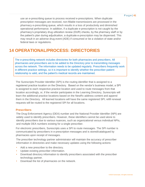use an e-prescribing queue to process received e-prescriptions. When duplicate prescription messages are received, non-fillable transmissions are processed in the pharmacy e-prescribing queue, which results in a loss of productivity and diminished operational performance. In addition, if a duplicate e-prescription is not caught by the pharmacy's proprietary drug utilization review (DUR) checks, by the pharmacy staff or by the patient's plan during adjudication, a duplicate e-prescription may be dispensed. This may result in an adverse drug event (ADE) if consumed or be a violation of state and/or federal laws or regulations.

# <span id="page-40-0"></span>**14 OPERATIONAL/PROCESS: DIRECTORIES**

The e-prescribing network includes directories for both pharmacies and prescribers. All pharmacies and prescribers are to be added to the Directory prior to transmitting messages across the network. The information needs to be updated regularly. Prescribers frequently work in different practice settings, so it is important to identify whether the prescriber-patient relationship is valid, and the patient's medical records are maintained.

The Surescripts Provider Identifier (SPI) is the routing identifier that is assigned to a registered practice location on the Directory. Based on the vendor's business model, a SPI is assigned to each respective practice location and used to route messages from that location accordingly, or, if the vendor participates in the Learning Directory, Surescripts will learn the additional practice locations based on the NewRx address content and append them in the Directory. All learned locations will have the same registered SPI; refill renewal requests will be routed to the registered SPI for all locations.

## <span id="page-40-1"></span>**Prescribers**

The Drug Enforcement Agency (DEA) number and the National Provider Identifier (NPI) are widely used to identify prescribers. However, these identifiers cannot be used alone to identify prescribers due to various nuances, such as organizational versus individual NPIs, and multiple DEA numbers existing for a single prescriber.

For electronic prescribers, Surescripts uses a SPI to route messages. The SPI number is communicated by prescribers in e-prescription messages and is stored/catalogued by pharmacies upon receipt of messages.

The prescriber technology partner administrator will maintain the accuracy of prescriber information in directories and make necessary updates using the following actions:

- Add a new prescriber to the directory.
- Update existing prescriber information.
- Download directory information to identify prescribers associated with the prescriber technology partner.
- Download the list of pharmacies on the network.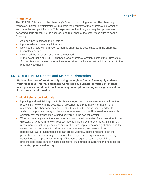## <span id="page-41-0"></span>**Pharmacies**

The NCPDP ID is used as the pharmacy's Surescripts routing number. The pharmacy technology partner administrator will maintain the accuracy of the pharmacy's information within the Surescripts Directory. This helps ensure that timely and regular updates are performed, thus preserving the accuracy and relevance of the data. Make sure to do the following:

- Add new pharmacies to the directory.
- Update existing pharmacy information.
- Download directory information to identify pharmacies associated with the pharmacy technology partner.
- Download the list of prescribers on the network.
- In the event that a NCPDP ID changes for a pharmacy location, contact the Surescripts Support team to discuss opportunities to transition the location with minimal impact to the pharmacy business.

## <span id="page-41-1"></span>**14.1 GUIDELINES: Update and Maintain Directories**

**Update directory information daily, using the nightly "delta" file to apply updates to your respective, internal databases. Complete a full update (or "true up") at least once per week and do not block incoming prescription routing messages based on local directory information.**

## **Clinical Relevance/Rationale**

- Updating and maintaining directories is an integral part of a successful and efficient eprescribing network. If the accuracy of prescriber and pharmacy information is not maintained, the pharmacy may not be able to contact the prescriber if needed. In addition, the pharmacy may not be able to route electronic refill renewal requests with certainty that the transaction is being delivered to the correct location.
- When a pharmacy cannot locate correct and complete information for a prescriber in the directory, a faxed refill renewal request may be initiated by the pharmacy. It is strongly recommended that the prescribers ensure the Surescripts Directory registration, and the transaction content are in full alignment from a formatting and standardization perspective. Out-of-alignment fields can create workflow inefficiencies for both the prescriber and the pharmacy, resulting in the delay of refill request responses being transmitted to the pharmacy. Faxing refill renewal requests can also result in eprescriptions being sent to incorrect locations, thus further establishing the need for an accurate, up-to-date directory.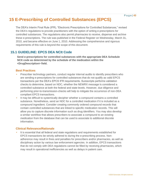# <span id="page-42-0"></span>**15 E-Prescribing of Controlled Substances (EPCS)**

The DEA's Interim Final Rule (IFR), "Electronic Prescriptions for Controlled Substances," revised the DEA's regulations to provide practitioners with the option of writing e-prescriptions for controlled substances. The regulations also permit pharmacies to receive, dispense and archive these e-prescriptions. The rule was published in the Federal Register on Wednesday, March 31, 2010, and became effective on June 1, 2010. Addressing the comprehensive and rigorous requirements of this rule is beyond the scope of this document.

## <span id="page-42-1"></span>**15.1 GUIDELINE: EPCS DEA NCIt Code**

**Send e-prescriptions for controlled substances with the appropriate DEA Schedule NCIt code as determined by the schedule of the medication within the <DrugDescription> field.**

## **Best Practices**

- Prescriber technology partners, conduct regular internal audits to identify prescribers who are sending e-prescriptions for controlled substances that do not qualify as valid EPCS transactions per the DEA's EPCS IFR requirements. Surescripts performs validation checks to determine, based on NDC, whether the NEWRX message is considered a controlled substance at both the federal and state levels. However, due diligence and performing prior-to-transmission-checks will help to mitigate the occurrence of non-DEA compliant EPCS transactions.
- It may be difficult to systemically decipher whether a compound contains a controlled substance. Nonetheless, send an NDC for a controlled medication if it is included as a compound ingredient. Consider creating commonly ordered compound records that contain controlled substances that are linked to specific medication records. This will allow you to capture discrete information such as drug identifiers. You may also develop a similar workflow that allows prescribers to associate a compound to an existing medication from the database that can be used to associate to additional discrete information.

## **Clinical Relevance/Rationale**

It is essential that all federal and state regulations and requirements established for EPCS transactions be strictly adhered to during the e-prescribing process. Nonadherence may result in fines and penalties for prescribers and/or pharmacies, as well as disciplinary action by various law enforcement agencies. In addition, EPCS transactions that do not comply with DEA regulations cannot be filled by receiving pharmacies, which may result in operational inefficiencies as well as delays in patient care.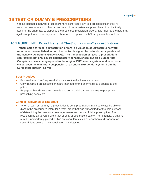## <span id="page-43-0"></span>**16 TEST OR DUMMY E-PRESCRIPTIONS**

In some instances, network prescribers have sent "test" NewRx e-prescriptions in the live production environment to pharmacies. In all of these instances, prescribers did not actually intend for the pharmacy to dispense the prescribed medication orders. It is important to note that significant potential risks may arise if pharmacies dispense such "test" prescription orders.

## <span id="page-43-1"></span>**16.1 GUIDELINE: Do not transmit "test" or "dummy" e-prescriptions**

**Transmission of "test" e-prescription orders is a violation of Surescripts network requirements established in both the contracts signed by network participants and the Network Operations Guide (NOG). The transmission of "test" e-prescriptions can result in not only severe patient safety consequences, but also Surescripts Compliance cases being opened to the original EHR vendor system, and in extreme cases, even the temporary suspension of an entire EHR vendor system from the Surescripts network as well.**

## **Best Practices**

- Ensure that no "test" e-prescriptions are sent in the live environment.
- Only transmit e-prescriptions that are intended for the pharmacist to dispense to the patient
- Engage with end-users and provide additional training to correct any inappropriate prescribing behaviors

## **Clinical Relevance or Rationale**

• When a "test" or "dummy" e-prescription is sent, pharmacies may not always be able to discern the prescriber's intent for a "test" order that was transmitted for the sole purpose of determining the insurance coverage versus an intended fillable prescription. The result can be an adverse event that directly affects patient safety. For example, a patient may be inadvertently placed on two anticoagulants such as apixaban and warfarin for several days before the dispensing error is detected.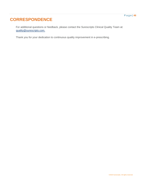# <span id="page-45-0"></span>**CORRESPONDENCE**

For additional questions or feedback, please contact the Surescripts Clinical Quality Team at: quality@surescripts.com.

Thank you for your dedication to continuous quality improvement in e-prescribing.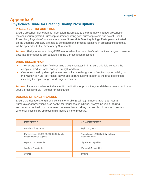# <span id="page-46-1"></span><span id="page-46-0"></span>**Appendix A Physician's Guide for Creating Quality Prescriptions**

## **PRESCRIBER INFORMATION**

Ensure prescriber demographic information transmitted to the pharmacy in a new prescription matches your registered Surescripts Directory listing (visit [surescripts.com a](http://www.surescripts.com/)nd select "Find E-Prescribing Physicians" to view your current Surescripts Directory listing). Participants activated on the Learning Directory are able to send additional practice locations in prescriptions and they will be appended to the Directory by Surescripts.

**Action:** Alert your e-prescribing/EMR vendor when the prescriber's information changes to ensure accurate information is pre-populated in the e-prescription message.

## **DRUG DESCRIPTION**

- The <DrugDescription> field contains a 105-character limit. Ensure this field contains the complete product name, dosage strength and form.
- Only enter the drug description information into the designated <DrugDescription> field, not the <Note> or <SigText> fields. Never add extraneous information to the drug description, including therapy changes or dosage increases.

**Action:** If you are unable to find a specific medication or product in your database, reach out to ask your e-prescribing/EMR vendor for assistance.

## **DOSAGE STRENGTH VALUES**

Ensure the dosage strength only consists of Arabic (decimal) numbers rather than Roman numerals or abbreviations such as "M" for thousands or millions. Always include a **leading**  zero when a decimal point is required but never have **trailing** zeroes. Avoid the use of zeroes whenever possible by employing alternative units of measure.

| <b>PREFERED</b>                                                     | <b>NON-PREFERED</b>                                 |
|---------------------------------------------------------------------|-----------------------------------------------------|
| Aspirin 325 mg tablet                                               | Aspirin V grains                                    |
| Pancrelipase, 12,000-38,000-60,000 units<br>delayed release capsule | Pancrelipase 12M-38M-60M delayed<br>release capsule |
| Digoxin 0.25 mg tablet                                              | Digoxin .25 mg tablet                               |
| Warfarin 5 mg tablet                                                | Warfarin 5.0 mg tablet                              |
| 30 mcg                                                              | $0.03$ ma                                           |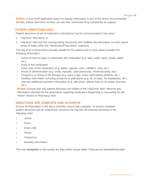**Action:** If your EHR application does not display information in any of the above recommended formats, please alert them so they can ask their contracted drug compendia for support.

## **PATIENT DIRECTIONS (SIG)**

Patient directions (a set of medication instructions) can be communicated in two ways:

- 1. <SigText> field alone, or
- 2. <SigText> field and the corresponding Structured and Codified Sig information (a more robust series of fields within the <MedicationPrescribed> segment)

The Sig of an e-prescription provides details for the patient and in most cases includes the following information:

- Action of how to ingest or administer the medication (e.g. take, instill, inject, inhale, apply, etc.)
- Dose of the medication
- Dose units of the medication (e.g. tablet, capsule, units, milliliters, mEq, etc.)
- Route of administration (e.g. orally, topically, subcutaneously, intramuscularly, etc.)
- Frequency or timing of the therapy (e.g. twice a day, every night before bedtime, etc.)
- Auxiliary information including durations or indications (e.g. for 14 days, for headaches, etc.) and any additional pertinent information (e.g. with drink, without food on an empty stomach, etc.)

**Action:** Ensure that only patient directions are written in the <SigText> field. Reserve any information intended for the pharmacist regarding medication dispensing or counseling for the <Note> (Notes to Pharmacy) field.

## **DIRECTIONS ARE COMPLETE AND ACCURATE**

Ensure all information in the Sig is clinically correct and complete. To ensure complete patient directions will be understood, construct the Sig with all essential elements in the following order:

- ↓ Action
- ↓ Dose
- ↓ Dose units
- ↓ Route
- ↓ Frequency
- ↓ Auxiliary information

The only **exception** to this syntax are Sigs which simply state "Take/use as directed/instructed."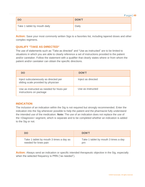|                              | Page   $49$  |  |
|------------------------------|--------------|--|
| <b>DO</b>                    | <b>DON'T</b> |  |
| Take 1 tablet by mouth daily | Daily        |  |

Action: Save your most commonly written Sigs to a favorites list, including tapered doses and other complex regimens.

## **QUALIFY "TAKE AS DIRECTED"**

The use of statements such as "Take as directed" and "Use as instructed" are to be limited to situations in which you are able to clearly reference a set of instructions provided to the patient and/or caretaker. Follow the statement with a qualifier that clearly states where or from whom the patient and/or caretaker can obtain the specific directions.

| <b>DO</b>                                                                    | <b>DON'T</b>       |
|------------------------------------------------------------------------------|--------------------|
| Inject subcutaneously as directed per<br>sliding scale provided by physician | Inject as directed |
| Use as instructed as needed for hives per<br>instructions on package         | Use as instructed  |

## **INDICATION**

The inclusion of an indication within the Sig is not required but strongly recommended. Enter the indication into the Sig whenever possible to help the patient and the pharmacist fully understand the intended use of the medication. **Note:** The use of an indication does not replace the use of the <Diagnosis> segment, which is separate and to be completed whether an indication is added to the Sig or not.

| <b>DO</b>                               | <b>DON'T</b>                         |
|-----------------------------------------|--------------------------------------|
| Take 1 tablet by mouth 3 times a day as | Take 1 tablet by mouth 3 times a day |
| needed for knee pain                    | prn                                  |

Action: Always send an indication or specific intended therapeutic objective in the Sig, especially when the selected frequency is PRN ("as needed").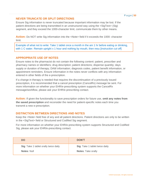## **NEVER TRUNCATE OR SPLIT DIRECTIONS**

Ensure Sig information is never truncated because important information may be lost. If the patient directions are being transmitted in an unstructured way using the <SigText> (Sig) segment, and they exceed the 1000-character limit, communicate them by other means.

Action: Do NOT write Sig information into the <Note> field if it exceeds the 1000- character limit.

Example of what not to write: Take 1 tablet once a month in the am 1 hr before eating or drinking, with 1 C water. Remain upright x 1 hour and nothing by mouth, then resu [*instruction cut off*]

## **APPROPRIATE USE OF NOTES**

Ensure notes to the pharmacist do not contain the following content: patient, prescriber and pharmacy names or identifiers; drug description; patient directions; dispense quantity; days supply or duration of therapy; DAW information; diagnosis codes, patient benefit information, or appointment reminders. Ensure information in the notes never conflicts with any information entered in other fields of the e-prescription.

If a change in therapy is needed that requires the discontinuation of a previously issued prescription, it is recommended that a cancel prescription (CancelRx) message be sent. For more information on whether your EHR/e-prescribing system supports the CancelRx message/workflow, please ask your EHR/e-prescribing contact.

**Action:** If given the functionality to save prescription orders for future use, **omit any notes from the saved prescription** and reconsider the need for patient-specific notes each time you transmit a new e-prescription.

## **DISTINCTION BETWEEN DIRECTIONS AND NOTES**

Keep the <Note> field free of any and all patient directions. Patient directions are only to be written in the <SigText> field or Structured and Codified Sig segment.

For more information on whether your EHR/e-prescribing system supports Structured and Codified Sig, please ask your EHR/e-prescribing contact.

| <b>DO</b>                             | <b>DON'T</b>                   |
|---------------------------------------|--------------------------------|
| Sig: Take 1 tablet orally twice daily | Sig: Take 1 tablet twice daily |
| <b>Notes: Null</b>                    | <b>Notes: Take orally</b>      |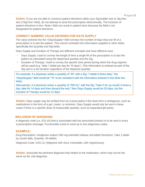Action: If you are not able to construct patient directions within your Sig-builder tool or Sig freetext (<SigText> field), do not attempt to send the prescription electronically. The inclusion of patient directions in the <Note> field can result in patient harm because the field is not designated for patient directions.

## **CORRECT NUMERIC VALUE ENTERED FOR DAYS SUPPLY**

The value entered into the <DaysSupply> field conveys the number of days that one fill of a prescription is to last the patient. This cannot contradict the information supplied in other fields, specifically the Quantity and Sig fields.

Days Supply and Duration of Therapy are different concepts and have different uses:

- Days Supply: Used to convey the length of time a single fill of the prescription is to last the patient as calculated using the dispensed quantity and the Sig.
- Duration of Therapy: Used to convey the specific time period during which the drug regimen will be used (e.g. "take 1 tablet per day for 10 days"). This information is entered as part of the Sig and is a set duration regardless of the dispense quantity.

For example, if a physician writes a quantity of "40" with a Sig "1 tablet 4 times daily," the <DaysSupply> field would be "10" to be consistent with the information entered in the other two fields.

Alternatively, if a physician writes a quantity of "300 mL" with the Sig "Take 5 mL by mouth 3 times a day; take for 14 days and then discard the rest," then Days Supply would be 20 days, but the Duration of Therapy would be 14 days.

**Action:** Days supply may be omitted from an e-prescription if the dose form is ambiguous, such as medications in the form of a gel, cream, or ointment. Days Supply would only be sent in these cases if there is a specific dose of measurable quantity, such as separated gel packs.

## **INCLUSION OF DIAGNOSIS**

A diagnosis code (i.e. ICD-10) that is associated with the prescribed product is to be sent in every e-prescription message. Functionality exists to send up to two diagnoses codes.

## **EXAMPLE:**

Drug Description: Divalproex sodium 500 mg extended release oral tablet Directions: Take 1 tablet by mouth daily, Quantity: 30 tablets

Diagnosis Code: G43.111 (Migraine with Aura, intractable, with migrainosus)

**Action:** Associate the pertinent diagnosis that relates to the medication, which may not be the same as the visit diagnosis.

P a g e | **51**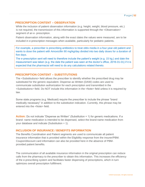## **PRESCRIPTION CONTENT – OBSERVATION**

While the inclusion of patient observation information (e.g. height, weight, blood pressure, etc.) is not required, the transmission of this information is supported through the <Observation> segment of an e- prescription.

Patient observation information, along with the exact dates the values were measured, are to be included in e-prescription messages when available, particularly for pediatric patients.

For example, a prescriber is prescribing antibiotics to treat otitis media in a four-year-old patient and wants to dose the patient with Amoxicillin 90 mg/kg/day divided into two daily doses for a duration of five days.

The e-prescription sent will need to therefore include the patient's weight (e.g. 15 kg.) and date the measurement was taken (e.g. the date the patient was seen at the doctor's office, 2016-01-01) if it is expected that the pharmacist will need to do any calculations related thereto.

## **PRESCRIPTION CONTENT – SUBSTITUTIONS**

The <Substitutions> field allows the prescriber to identify whether the prescribed drug may be substituted for the generic equivalent. Dispense as Written (DAW) codes are used to communicate substitution authorization for each prescription and transmitted in the <Substitutions> field. Do NOT include this information in the <Note> field unless it is required by law.

Some state programs (e.g. Medicaid) require the prescriber to include the phrase "brand medically necessary" in addition to the substitution indication. Currently, this phrase may be entered into the <Note> field.

**Action:** Do not indicate "Dispense as Written" (Substitution = 1) for generic medications. If a brand- name medication is intended to be dispensed, select the brand-name medication from your database and indicate (Substitution = 1).

## **INCLUSION OF INSURANCE / BENEFITS INFORMATION**

The Benefits Coordination and Patient segments are used to communicate all patient insurance information that is provided within the Eligibility response from the insurer/PBM. Coupon/discount card information can also be provided here in the absence of PBMprovided patient benefits.

The communication of all available insurance information in the original prescription can reduce calls from the pharmacy to the prescriber to obtain this information. This increases the efficiency of the e-prescribing system and facilitates faster dispensing of prescriptions, which in turn optimizes overall prescription fulfillment.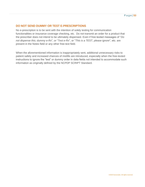## **DO NOT SEND DUMMY OR TEST E-PRESCRIPTIONS**

No e-prescription is to be sent with the intention of solely testing for communication functionalities or insurance coverage checking, etc. Do not transmit an order for a product that the prescriber does not intend to be ultimately dispensed. Even if free-texted messages of "*Do not dispense this; dummy e-Rx*", or "*Test e-Rx*", or "*This is a TEST, please ignore*", etc. are present in the Notes field or any other free-text field.

When the aforementioned information is inappropriately sent, additional unnecessary risks to patient safety and increased chances of misfills are introduced, especially when the free-texted instructions to ignore the "test" or dummy order in data fields not intended to accommodate such information as originally defined by the NCPDP SCRIPT Standard.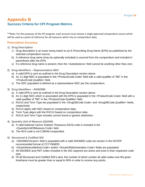# <span id="page-53-1"></span><span id="page-53-0"></span>**Appendix B Success Criteria for CPI Program Metrics**

\*\*Note: For the purposes of the CPI program, each account must choose a single approved compendium source which will be used as a point of reference for all measures which rely on compendium data.

## **Prescription Accuracy**

- **1) Drug Description** 
	- a) Drug description is an exact string match to an E-Prescribing Drug Name (EPN) as published by the selected compendium source.
	- b) A reference drug name (may be optionally included) is sourced from the compendium and included in parenthesis after the EPN.
	- c) If a reference drug name is present, then the <Substitutions> field cannot be anything other than zero
- **2) Drug Identifiers – Representative NDC** 
	- a) A valid EPN is sent as outlined in the Drug Description section above.
	- b) An 11-digit NDC is populated in the <ProductCode.Code> field with a valid qualifier of "ND" in the <ProductCode.Qualifier> field.
	- c) The NDC populated is defined as a representative NDC per the compendium.
- **3) Drug Identifiers – RXNORM** 
	- a) A valid EPN is sent as outlined in the Drug Description section above
	- b) An 11-digit NDC which is associated with the EPN is populated in the <ProductCode.Code> field with a valid qualifier of "ND" in the <ProductCode.Qualifier> field.
	- c) RxCUI and Term Type are populated in the <DrugDBCode.Code> and <DrugDBCode.Qualfiier> fields, respectively.
	- d) RxCUI aligns with NDC based on compendium data.
	- e) Term Type aligns with the RXCUI based on compendium data.
	- f) RxCUI and Term Type includes correct brand or generic distinction.
- **4) Quantity Unit of Measure (QUOM)** 
	- a) A valid National Cancer Institute Thesaurus (NCIt) code is included in the <QuantityUnitOfMeasure.Code> field.
	- b) The NCIt code is not C38046-Unspecified.
- **5) Structured & Codified SIG** 
	- a) <SNOMEDVersion> field is populated with a valid SNOMED code set version in the NCPDP recommended format of CCYYMMDD
	- b) <DoseDeliveryMethod.Code> and/or <RouteOfAdministration.Code> fields are populated.
	- c) All SNOMED and FMT codes included in the SIG segment are active and exist in their respective code sets.
	- d) Of all Structured and Codified SIG's sent, the number of which contain all valid codes over the given timeframe must be greater than or equal to 90% in order to receive any points.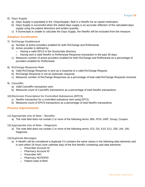- **6) Days Supply** 
	- a) Days Supply is populated in the <DaysSupply> field in a NewRx for an opioid medication.
	- b) Days Supply is successful when the stated days supply is an accurate reflection of the calculated days supply using the patient directions and written quantity.
	- c) If Surescripts is unable to calculate the Days Supply, the NewRx will be excluded from the measure.

## **Adoption Acceleration**

- **7) RxChange Enablement** 
	- a) Number of active providers enabled for both RxChange and RxRenewal.
	- b) Active provider is defined by:
		- o Having a valid SPI13 in the Surescripts directory.
		- $\circ$  Having sent a valid NewRx or RxRenewal Response transaction in the past 30 days.
	- c) Measures number of active providers enabled for both RxChange and RxRenewal as a percentage of providers enabled for RxRenewal.
- **8) RxChange Response Rate**
	- a) Valid RxChange Response is sent as a response to a valid RxChange Request.
	- b) RxChange Response is not an automatic response.
	- c) Measures number of RxChange Responses as a percentage of total valid RxChange Requests received.
- **9) CancelRx**
	- a) Valid CancelRx transaction sent.
	- b) Measures count of CancelRx transactions as a percentage of total NewRx transactions.
- **10) Electronic Prescription for Controlled Substances (EPCS)**
	- a) NewRx transaction for a controlled substance sent using EPCS.
	- b) Measures count of EPCS transactions as a percentage of total NewRx transactions.

## **Process Improvements**

- **11) Appropriate Use of Note – Benefits**
	- a) The note field does not contain 2 or more of the following terms: BIN, PCN, GRP, Group, Coupon.
- **12) Appropriate Use of Note – Diagnosis**
	- a) The note field does not contain 2 or more of the following terms: ICD, DX, E10, E11, 250, J44, J45, **Diagnosis**

#### **13) Duplicate Messages**

- a) A NewRx will be considered a duplicate if it contains the same values in the following data elements and is sent within 24 hours (one calendar day) of the first NewRx containing said data elements:
	- o Prescriber Account ID
	- o Pharmacy Account ID
	- o Prescriber NPI
	- o Pharmacy NCPDPID
	- o Patient Date of Birth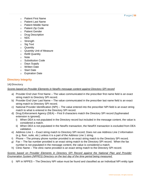- o Patient First Name
- o Patient Last Name
- o Patient Middle Name
- o Patient Zip Code
- o Patient Gender
- o Drug Description
- o NDC
- o Strength
- o Sig Text
- o Quantity
- o Quantity Unit of Measure
- o Refill Quantity
- o Note
- o Substitution Code
- o Days Supply
- o Written Date
- o Start Date
- o Expiration Date

## **Directory Integrity**

## **14) Directory**

## *Scores based on Provider Elements in NewRx message content against Directory SPI record*

- a) Provider End User First Name The value communicated in the prescriber first name field is an exact string match to Directory SPI record.
- b) Provider End User Last Name The value communicated in the prescriber last name field is an exact string match to Directory SPI record.
- c) National Provider Identification (NPI) The value entered into the prescriber NPI field is an exact string match to what is entered in the Directory SPI record.
- d) Drug Enforcement Agency (DEA) First 9 characters match the Directory SPI record (hyphenated extension is ignored).
	- i) When DEA is not populated in the Directory record but included in the message content, the value is considered a match.
	- ii) When DEA is not populated in the NewRx transaction, the NewRX transaction is excluded from DEA validation.
- e) Address Line 1 Exact string match to Directory SPI record; Does not use Address Line 2 information (e.g. floor, suite, etc.) unless it is a part of the Address Line 1 string.
- f) Phone The primary phone number provided is an exact string match to the Directory SPI record.
- g) Fax The fax number provided is an exact string match to the Directory SPI record. When the fax number is not populated in the message content, the value is considered a match.
- h) Clinic Name The clinic name provided is an exact string match to the Directory SPI record.

## *Scores based on Provider Elements in Directory SPI Record against the National Plan and Provider Enumeration System (NPPES) Directory on the last day of the time period being measured.*

i) NPI in NPPES – The Directory NPI value must be found and classified as an Individual NPI entity type